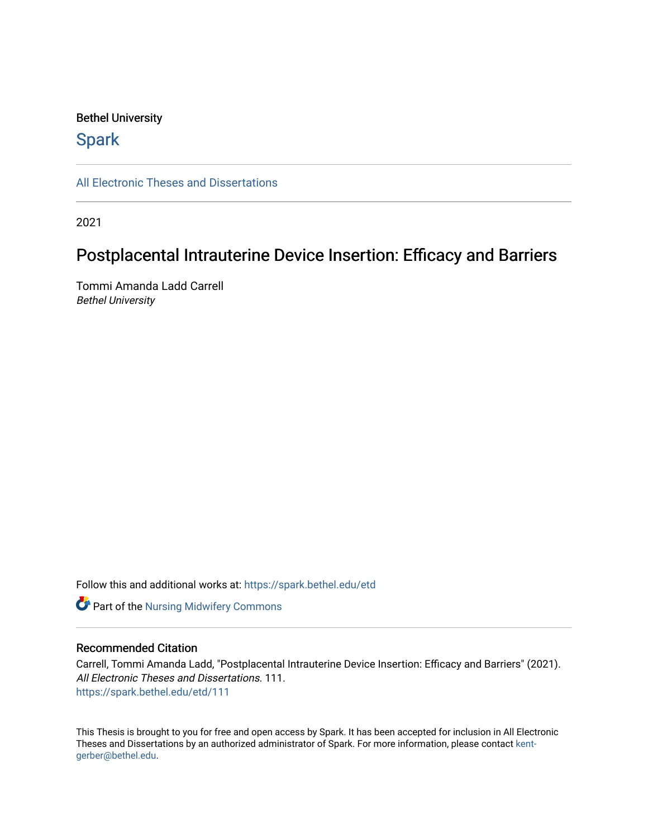## Bethel University

# **Spark**

[All Electronic Theses and Dissertations](https://spark.bethel.edu/etd) 

2021

# Postplacental Intrauterine Device Insertion: Efficacy and Barriers

Tommi Amanda Ladd Carrell Bethel University

Follow this and additional works at: [https://spark.bethel.edu/etd](https://spark.bethel.edu/etd?utm_source=spark.bethel.edu%2Fetd%2F111&utm_medium=PDF&utm_campaign=PDFCoverPages)

**Part of the Nursing Midwifery Commons** 

## Recommended Citation

Carrell, Tommi Amanda Ladd, "Postplacental Intrauterine Device Insertion: Efficacy and Barriers" (2021). All Electronic Theses and Dissertations. 111. [https://spark.bethel.edu/etd/111](https://spark.bethel.edu/etd/111?utm_source=spark.bethel.edu%2Fetd%2F111&utm_medium=PDF&utm_campaign=PDFCoverPages)

This Thesis is brought to you for free and open access by Spark. It has been accepted for inclusion in All Electronic Theses and Dissertations by an authorized administrator of Spark. For more information, please contact [kent](mailto:kent-gerber@bethel.edu)[gerber@bethel.edu.](mailto:kent-gerber@bethel.edu)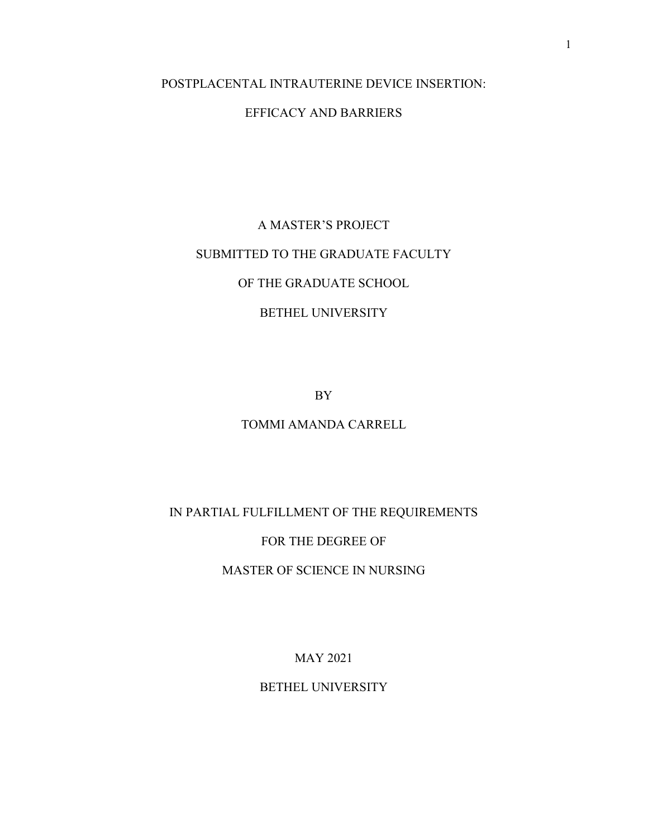# POSTPLACENTAL INTRAUTERINE DEVICE INSERTION:

# EFFICACY AND BARRIERS

# A MASTER'S PROJECT SUBMITTED TO THE GRADUATE FACULTY OF THE GRADUATE SCHOOL BETHEL UNIVERSITY

BY

## TOMMI AMANDA CARRELL

# IN PARTIAL FULFILLMENT OF THE REQUIREMENTS

# FOR THE DEGREE OF

# MASTER OF SCIENCE IN NURSING

MAY 2021

# BETHEL UNIVERSITY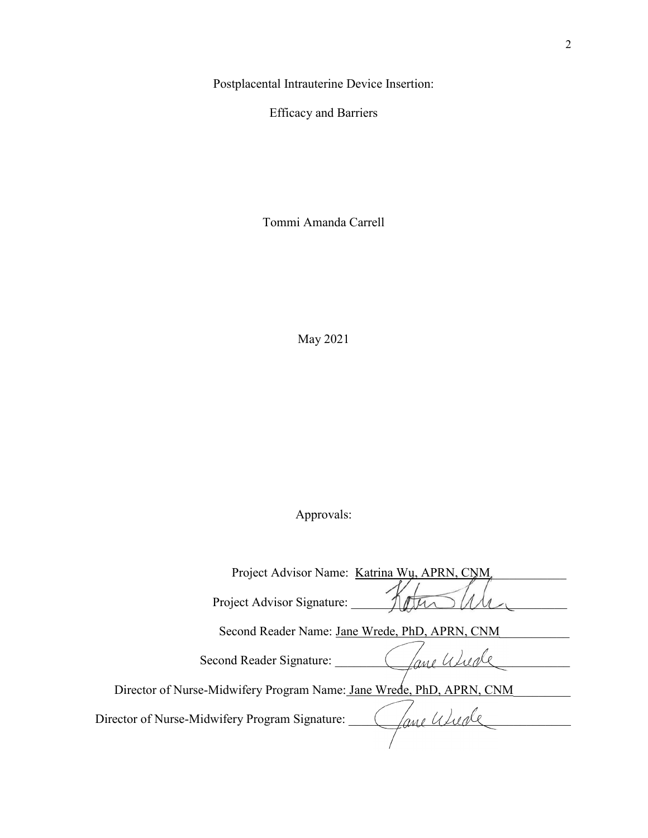Postplacental Intrauterine Device Insertion:

Efficacy and Barriers

Tommi Amanda Carrell

May 2021

# Approvals:

| Project Advisor Name: Katrina Wu, APRN, CNM                          |
|----------------------------------------------------------------------|
| Project Advisor Signature:                                           |
| Second Reader Name: Jane Wrede, PhD, APRN, CNM                       |
| Second Reader Signature:                                             |
| Director of Nurse-Midwifery Program Name: Jane Wrede, PhD, APRN, CNM |
| Director of Nurse-Midwifery Program Signature:                       |
|                                                                      |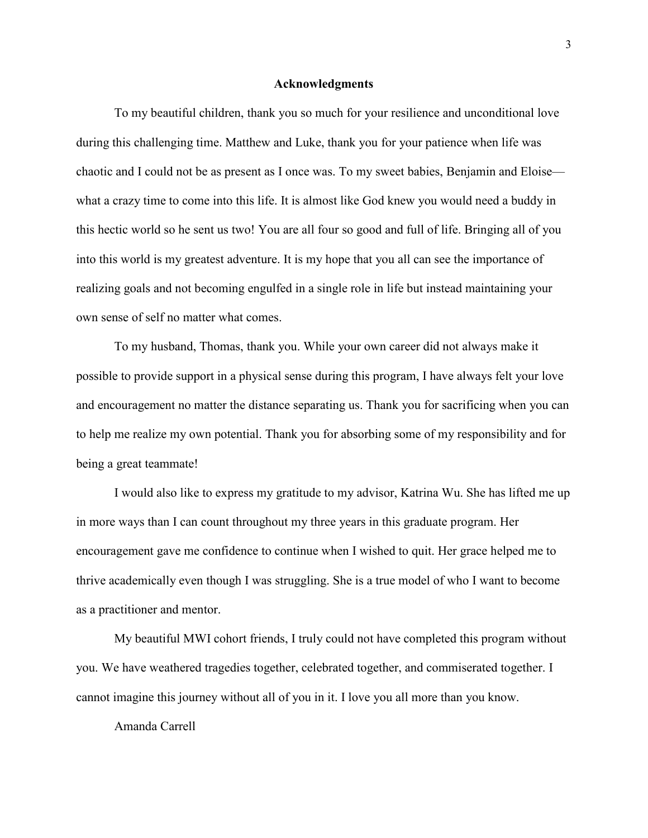#### **Acknowledgments**

To my beautiful children, thank you so much for your resilience and unconditional love during this challenging time. Matthew and Luke, thank you for your patience when life was chaotic and I could not be as present as I once was. To my sweet babies, Benjamin and Eloise what a crazy time to come into this life. It is almost like God knew you would need a buddy in this hectic world so he sent us two! You are all four so good and full of life. Bringing all of you into this world is my greatest adventure. It is my hope that you all can see the importance of realizing goals and not becoming engulfed in a single role in life but instead maintaining your own sense of self no matter what comes.

To my husband, Thomas, thank you. While your own career did not always make it possible to provide support in a physical sense during this program, I have always felt your love and encouragement no matter the distance separating us. Thank you for sacrificing when you can to help me realize my own potential. Thank you for absorbing some of my responsibility and for being a great teammate!

I would also like to express my gratitude to my advisor, Katrina Wu. She has lifted me up in more ways than I can count throughout my three years in this graduate program. Her encouragement gave me confidence to continue when I wished to quit. Her grace helped me to thrive academically even though I was struggling. She is a true model of who I want to become as a practitioner and mentor.

My beautiful MWI cohort friends, I truly could not have completed this program without you. We have weathered tragedies together, celebrated together, and commiserated together. I cannot imagine this journey without all of you in it. I love you all more than you know.

Amanda Carrell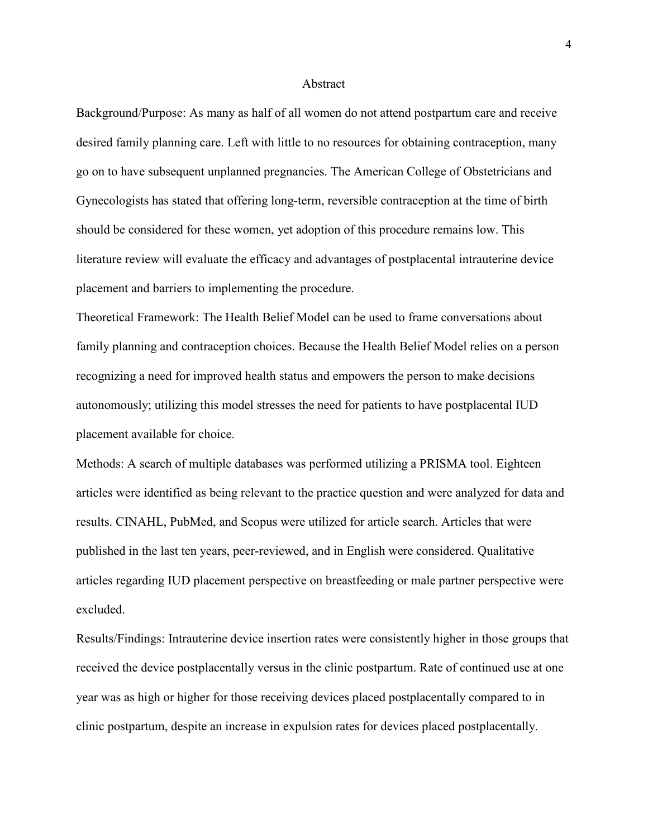#### Abstract

Background/Purpose: As many as half of all women do not attend postpartum care and receive desired family planning care. Left with little to no resources for obtaining contraception, many go on to have subsequent unplanned pregnancies. The American College of Obstetricians and Gynecologists has stated that offering long-term, reversible contraception at the time of birth should be considered for these women, yet adoption of this procedure remains low. This literature review will evaluate the efficacy and advantages of postplacental intrauterine device placement and barriers to implementing the procedure.

Theoretical Framework: The Health Belief Model can be used to frame conversations about family planning and contraception choices. Because the Health Belief Model relies on a person recognizing a need for improved health status and empowers the person to make decisions autonomously; utilizing this model stresses the need for patients to have postplacental IUD placement available for choice.

Methods: A search of multiple databases was performed utilizing a PRISMA tool. Eighteen articles were identified as being relevant to the practice question and were analyzed for data and results. CINAHL, PubMed, and Scopus were utilized for article search. Articles that were published in the last ten years, peer-reviewed, and in English were considered. Qualitative articles regarding IUD placement perspective on breastfeeding or male partner perspective were excluded.

Results/Findings: Intrauterine device insertion rates were consistently higher in those groups that received the device postplacentally versus in the clinic postpartum. Rate of continued use at one year was as high or higher for those receiving devices placed postplacentally compared to in clinic postpartum, despite an increase in expulsion rates for devices placed postplacentally.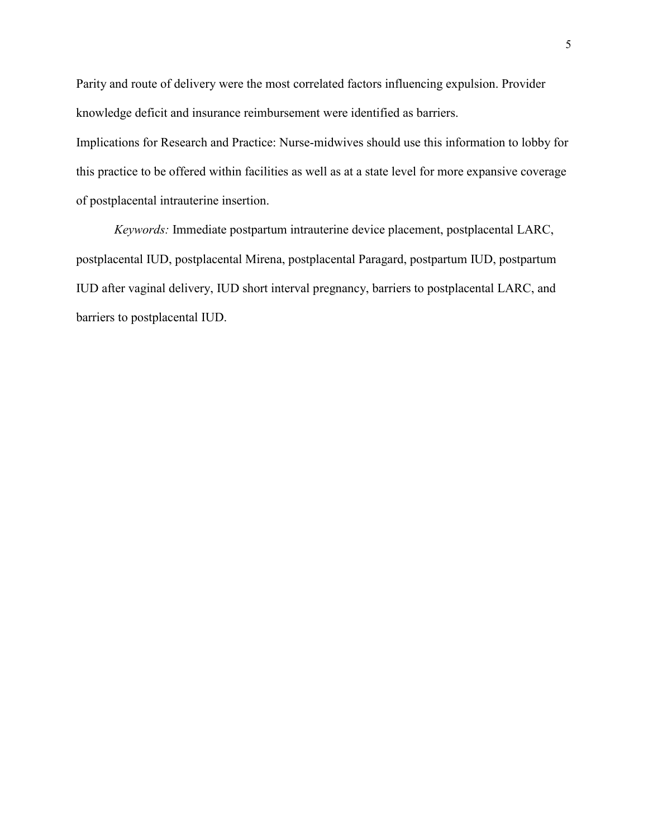Parity and route of delivery were the most correlated factors influencing expulsion. Provider knowledge deficit and insurance reimbursement were identified as barriers.

Implications for Research and Practice: Nurse-midwives should use this information to lobby for this practice to be offered within facilities as well as at a state level for more expansive coverage of postplacental intrauterine insertion.

*Keywords:* Immediate postpartum intrauterine device placement, postplacental LARC, postplacental IUD, postplacental Mirena, postplacental Paragard, postpartum IUD, postpartum IUD after vaginal delivery, IUD short interval pregnancy, barriers to postplacental LARC, and barriers to postplacental IUD.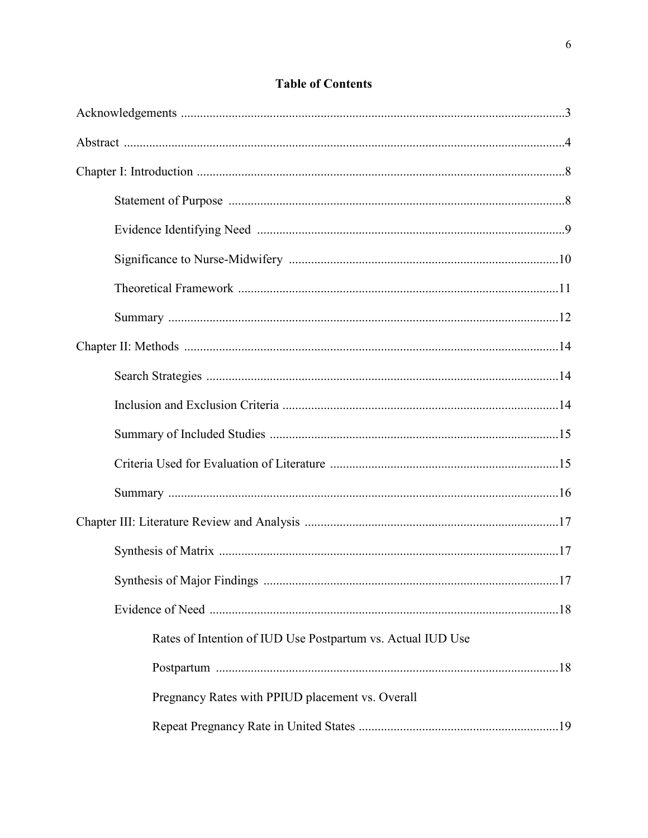| Rates of Intention of IUD Use Postpartum vs. Actual IUD Use |
|-------------------------------------------------------------|
|                                                             |
| Pregnancy Rates with PPIUD placement vs. Overall            |
|                                                             |

# **Table of Contents**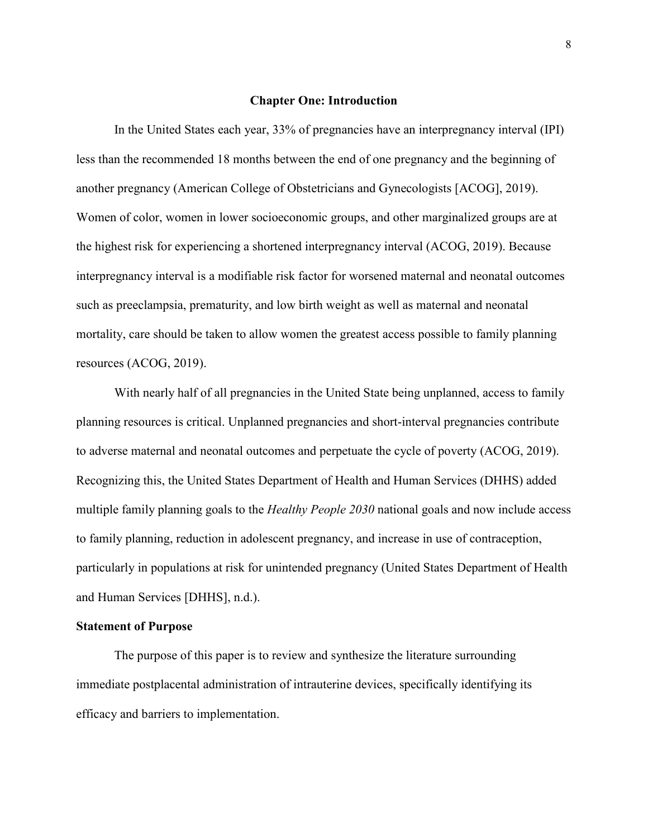#### **Chapter One: Introduction**

In the United States each year, 33% of pregnancies have an interpregnancy interval (IPI) less than the recommended 18 months between the end of one pregnancy and the beginning of another pregnancy (American College of Obstetricians and Gynecologists [ACOG], 2019). Women of color, women in lower socioeconomic groups, and other marginalized groups are at the highest risk for experiencing a shortened interpregnancy interval (ACOG, 2019). Because interpregnancy interval is a modifiable risk factor for worsened maternal and neonatal outcomes such as preeclampsia, prematurity, and low birth weight as well as maternal and neonatal mortality, care should be taken to allow women the greatest access possible to family planning resources (ACOG, 2019).

With nearly half of all pregnancies in the United State being unplanned, access to family planning resources is critical. Unplanned pregnancies and short-interval pregnancies contribute to adverse maternal and neonatal outcomes and perpetuate the cycle of poverty (ACOG, 2019). Recognizing this, the United States Department of Health and Human Services (DHHS) added multiple family planning goals to the *Healthy People 2030* national goals and now include access to family planning, reduction in adolescent pregnancy, and increase in use of contraception, particularly in populations at risk for unintended pregnancy (United States Department of Health and Human Services [DHHS], n.d.).

#### **Statement of Purpose**

The purpose of this paper is to review and synthesize the literature surrounding immediate postplacental administration of intrauterine devices, specifically identifying its efficacy and barriers to implementation.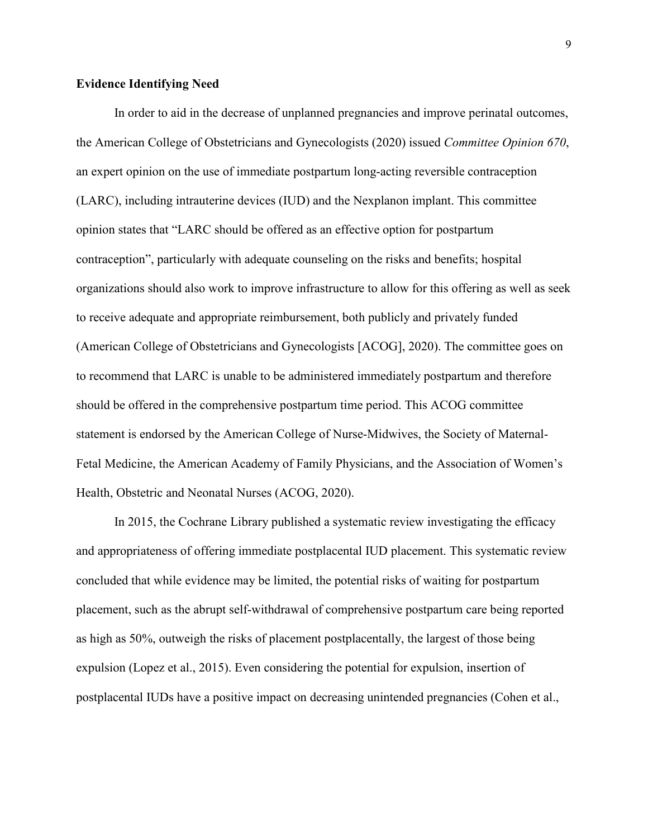#### **Evidence Identifying Need**

In order to aid in the decrease of unplanned pregnancies and improve perinatal outcomes, the American College of Obstetricians and Gynecologists (2020) issued *Committee Opinion 670*, an expert opinion on the use of immediate postpartum long-acting reversible contraception (LARC), including intrauterine devices (IUD) and the Nexplanon implant. This committee opinion states that "LARC should be offered as an effective option for postpartum contraception", particularly with adequate counseling on the risks and benefits; hospital organizations should also work to improve infrastructure to allow for this offering as well as seek to receive adequate and appropriate reimbursement, both publicly and privately funded (American College of Obstetricians and Gynecologists [ACOG], 2020). The committee goes on to recommend that LARC is unable to be administered immediately postpartum and therefore should be offered in the comprehensive postpartum time period. This ACOG committee statement is endorsed by the American College of Nurse-Midwives, the Society of Maternal-Fetal Medicine, the American Academy of Family Physicians, and the Association of Women's Health, Obstetric and Neonatal Nurses (ACOG, 2020).

In 2015, the Cochrane Library published a systematic review investigating the efficacy and appropriateness of offering immediate postplacental IUD placement. This systematic review concluded that while evidence may be limited, the potential risks of waiting for postpartum placement, such as the abrupt self-withdrawal of comprehensive postpartum care being reported as high as 50%, outweigh the risks of placement postplacentally, the largest of those being expulsion (Lopez et al., 2015). Even considering the potential for expulsion, insertion of postplacental IUDs have a positive impact on decreasing unintended pregnancies (Cohen et al.,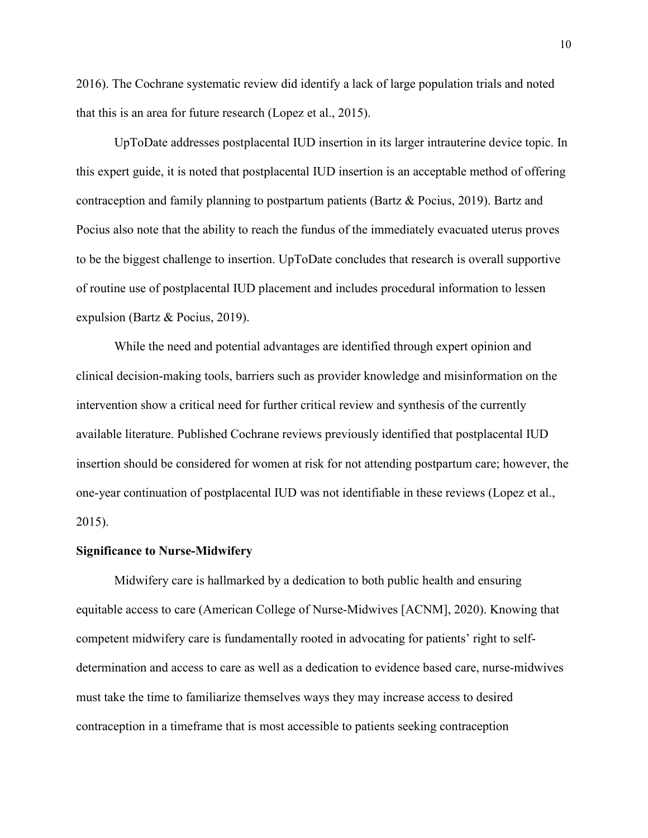2016). The Cochrane systematic review did identify a lack of large population trials and noted that this is an area for future research (Lopez et al., 2015).

UpToDate addresses postplacental IUD insertion in its larger intrauterine device topic. In this expert guide, it is noted that postplacental IUD insertion is an acceptable method of offering contraception and family planning to postpartum patients (Bartz & Pocius, 2019). Bartz and Pocius also note that the ability to reach the fundus of the immediately evacuated uterus proves to be the biggest challenge to insertion. UpToDate concludes that research is overall supportive of routine use of postplacental IUD placement and includes procedural information to lessen expulsion (Bartz & Pocius, 2019).

While the need and potential advantages are identified through expert opinion and clinical decision-making tools, barriers such as provider knowledge and misinformation on the intervention show a critical need for further critical review and synthesis of the currently available literature. Published Cochrane reviews previously identified that postplacental IUD insertion should be considered for women at risk for not attending postpartum care; however, the one-year continuation of postplacental IUD was not identifiable in these reviews (Lopez et al., 2015).

#### **Significance to Nurse-Midwifery**

Midwifery care is hallmarked by a dedication to both public health and ensuring equitable access to care (American College of Nurse-Midwives [ACNM], 2020). Knowing that competent midwifery care is fundamentally rooted in advocating for patients' right to selfdetermination and access to care as well as a dedication to evidence based care, nurse-midwives must take the time to familiarize themselves ways they may increase access to desired contraception in a timeframe that is most accessible to patients seeking contraception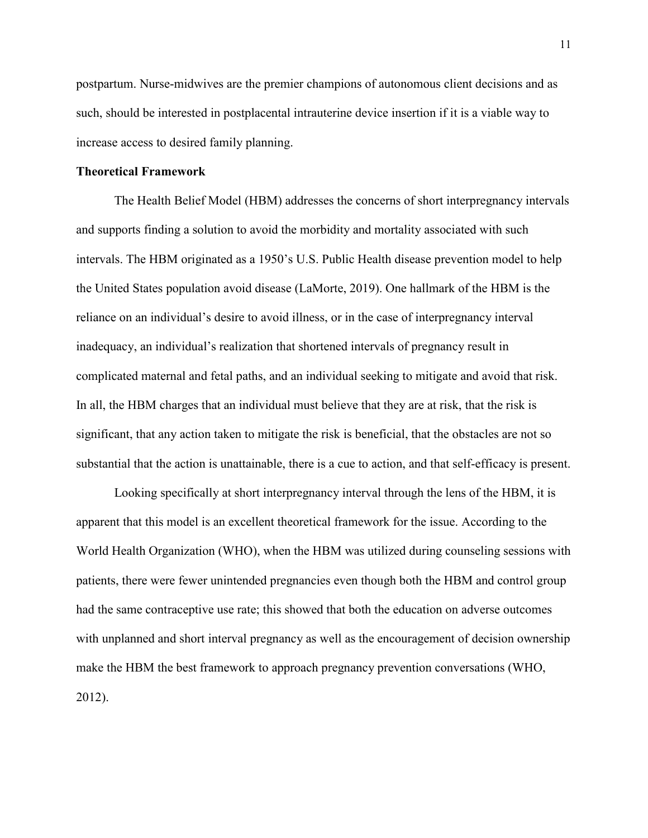postpartum. Nurse-midwives are the premier champions of autonomous client decisions and as such, should be interested in postplacental intrauterine device insertion if it is a viable way to increase access to desired family planning.

#### **Theoretical Framework**

The Health Belief Model (HBM) addresses the concerns of short interpregnancy intervals and supports finding a solution to avoid the morbidity and mortality associated with such intervals. The HBM originated as a 1950's U.S. Public Health disease prevention model to help the United States population avoid disease (LaMorte, 2019). One hallmark of the HBM is the reliance on an individual's desire to avoid illness, or in the case of interpregnancy interval inadequacy, an individual's realization that shortened intervals of pregnancy result in complicated maternal and fetal paths, and an individual seeking to mitigate and avoid that risk. In all, the HBM charges that an individual must believe that they are at risk, that the risk is significant, that any action taken to mitigate the risk is beneficial, that the obstacles are not so substantial that the action is unattainable, there is a cue to action, and that self-efficacy is present.

Looking specifically at short interpregnancy interval through the lens of the HBM, it is apparent that this model is an excellent theoretical framework for the issue. According to the World Health Organization (WHO), when the HBM was utilized during counseling sessions with patients, there were fewer unintended pregnancies even though both the HBM and control group had the same contraceptive use rate; this showed that both the education on adverse outcomes with unplanned and short interval pregnancy as well as the encouragement of decision ownership make the HBM the best framework to approach pregnancy prevention conversations (WHO, 2012).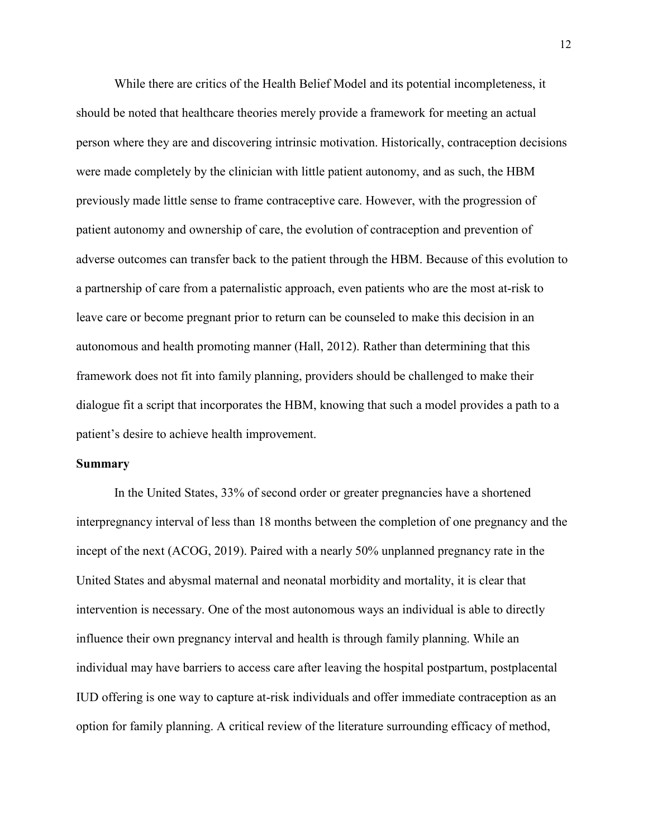While there are critics of the Health Belief Model and its potential incompleteness, it should be noted that healthcare theories merely provide a framework for meeting an actual person where they are and discovering intrinsic motivation. Historically, contraception decisions were made completely by the clinician with little patient autonomy, and as such, the HBM previously made little sense to frame contraceptive care. However, with the progression of patient autonomy and ownership of care, the evolution of contraception and prevention of adverse outcomes can transfer back to the patient through the HBM. Because of this evolution to a partnership of care from a paternalistic approach, even patients who are the most at-risk to leave care or become pregnant prior to return can be counseled to make this decision in an autonomous and health promoting manner (Hall, 2012). Rather than determining that this framework does not fit into family planning, providers should be challenged to make their dialogue fit a script that incorporates the HBM, knowing that such a model provides a path to a patient's desire to achieve health improvement.

#### **Summary**

In the United States, 33% of second order or greater pregnancies have a shortened interpregnancy interval of less than 18 months between the completion of one pregnancy and the incept of the next (ACOG, 2019). Paired with a nearly 50% unplanned pregnancy rate in the United States and abysmal maternal and neonatal morbidity and mortality, it is clear that intervention is necessary. One of the most autonomous ways an individual is able to directly influence their own pregnancy interval and health is through family planning. While an individual may have barriers to access care after leaving the hospital postpartum, postplacental IUD offering is one way to capture at-risk individuals and offer immediate contraception as an option for family planning. A critical review of the literature surrounding efficacy of method,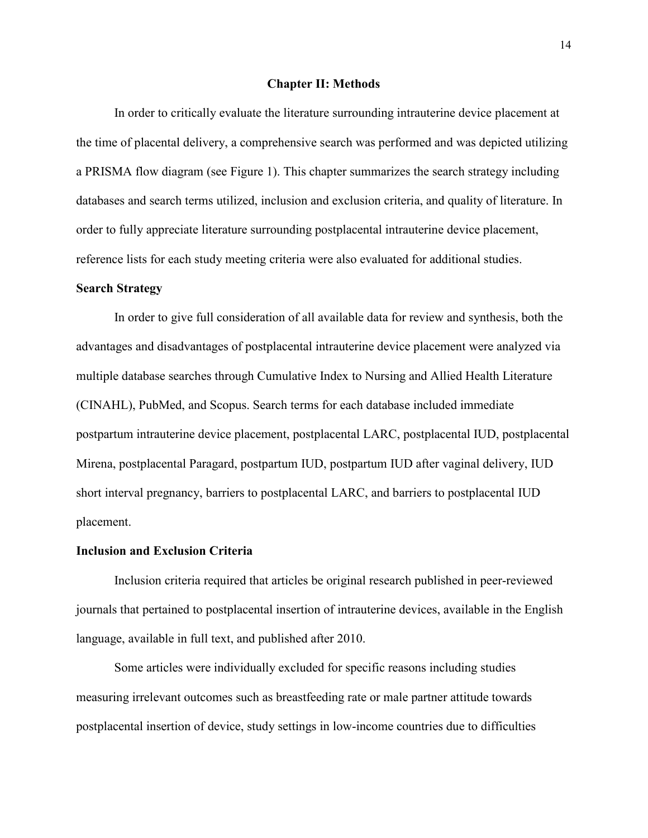#### **Chapter II: Methods**

In order to critically evaluate the literature surrounding intrauterine device placement at the time of placental delivery, a comprehensive search was performed and was depicted utilizing a PRISMA flow diagram (see Figure 1). This chapter summarizes the search strategy including databases and search terms utilized, inclusion and exclusion criteria, and quality of literature. In order to fully appreciate literature surrounding postplacental intrauterine device placement, reference lists for each study meeting criteria were also evaluated for additional studies.

#### **Search Strategy**

In order to give full consideration of all available data for review and synthesis, both the advantages and disadvantages of postplacental intrauterine device placement were analyzed via multiple database searches through Cumulative Index to Nursing and Allied Health Literature (CINAHL), PubMed, and Scopus. Search terms for each database included immediate postpartum intrauterine device placement, postplacental LARC, postplacental IUD, postplacental Mirena, postplacental Paragard, postpartum IUD, postpartum IUD after vaginal delivery, IUD short interval pregnancy, barriers to postplacental LARC, and barriers to postplacental IUD placement.

#### **Inclusion and Exclusion Criteria**

Inclusion criteria required that articles be original research published in peer-reviewed journals that pertained to postplacental insertion of intrauterine devices, available in the English language, available in full text, and published after 2010.

Some articles were individually excluded for specific reasons including studies measuring irrelevant outcomes such as breastfeeding rate or male partner attitude towards postplacental insertion of device, study settings in low-income countries due to difficulties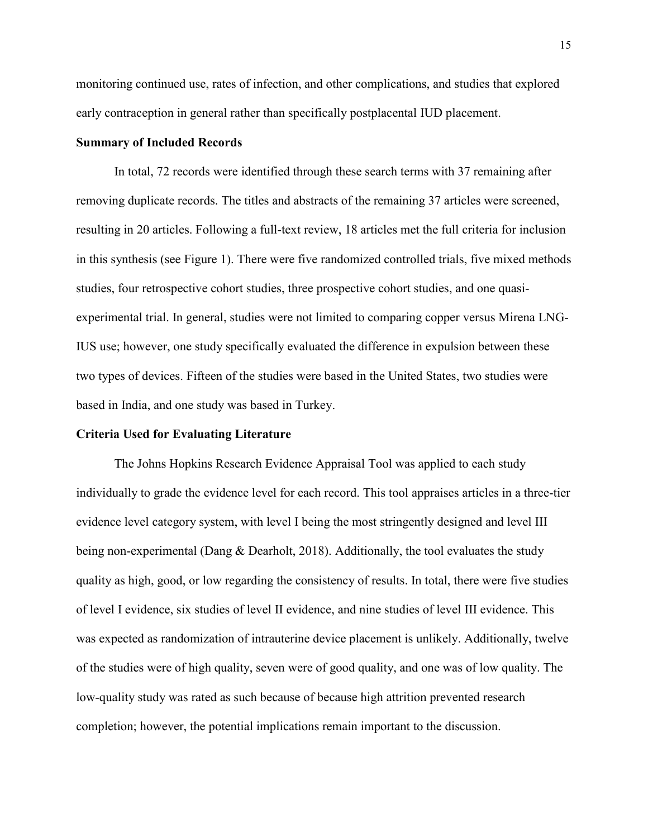monitoring continued use, rates of infection, and other complications, and studies that explored early contraception in general rather than specifically postplacental IUD placement.

#### **Summary of Included Records**

In total, 72 records were identified through these search terms with 37 remaining after removing duplicate records. The titles and abstracts of the remaining 37 articles were screened, resulting in 20 articles. Following a full-text review, 18 articles met the full criteria for inclusion in this synthesis (see Figure 1). There were five randomized controlled trials, five mixed methods studies, four retrospective cohort studies, three prospective cohort studies, and one quasiexperimental trial. In general, studies were not limited to comparing copper versus Mirena LNG-IUS use; however, one study specifically evaluated the difference in expulsion between these two types of devices. Fifteen of the studies were based in the United States, two studies were based in India, and one study was based in Turkey.

#### **Criteria Used for Evaluating Literature**

The Johns Hopkins Research Evidence Appraisal Tool was applied to each study individually to grade the evidence level for each record. This tool appraises articles in a three-tier evidence level category system, with level I being the most stringently designed and level III being non-experimental (Dang & Dearholt, 2018). Additionally, the tool evaluates the study quality as high, good, or low regarding the consistency of results. In total, there were five studies of level I evidence, six studies of level II evidence, and nine studies of level III evidence. This was expected as randomization of intrauterine device placement is unlikely. Additionally, twelve of the studies were of high quality, seven were of good quality, and one was of low quality. The low-quality study was rated as such because of because high attrition prevented research completion; however, the potential implications remain important to the discussion.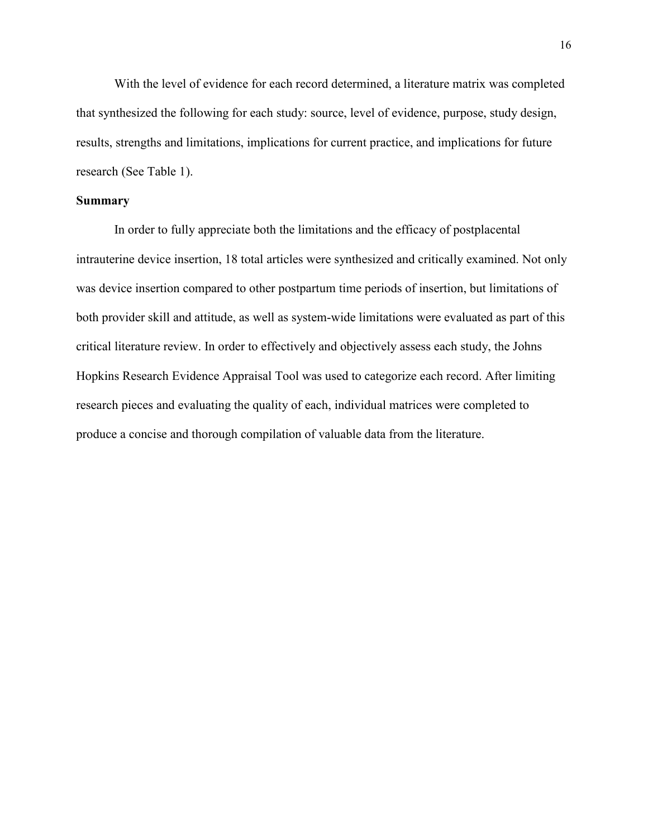With the level of evidence for each record determined, a literature matrix was completed that synthesized the following for each study: source, level of evidence, purpose, study design, results, strengths and limitations, implications for current practice, and implications for future research (See Table 1).

#### **Summary**

In order to fully appreciate both the limitations and the efficacy of postplacental intrauterine device insertion, 18 total articles were synthesized and critically examined. Not only was device insertion compared to other postpartum time periods of insertion, but limitations of both provider skill and attitude, as well as system-wide limitations were evaluated as part of this critical literature review. In order to effectively and objectively assess each study, the Johns Hopkins Research Evidence Appraisal Tool was used to categorize each record. After limiting research pieces and evaluating the quality of each, individual matrices were completed to produce a concise and thorough compilation of valuable data from the literature.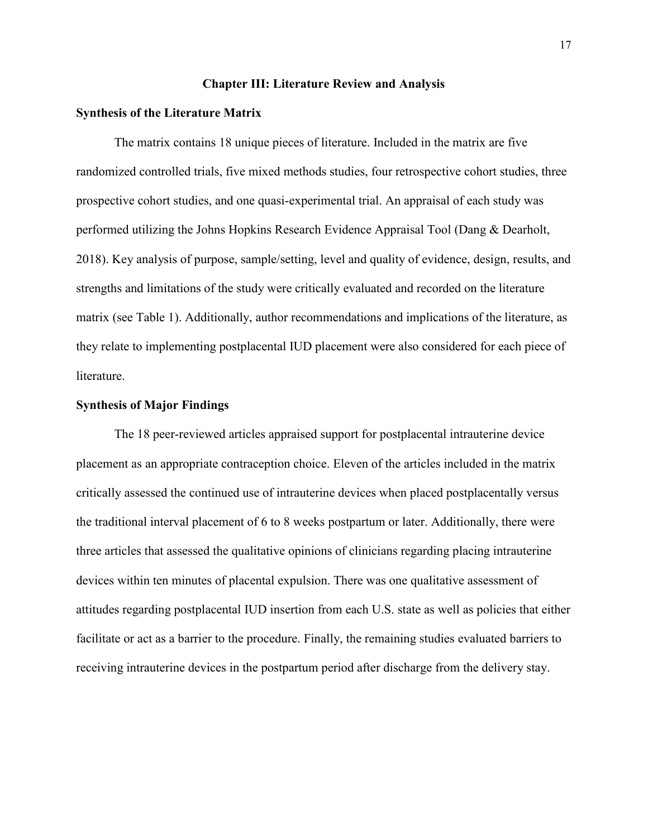#### **Chapter III: Literature Review and Analysis**

#### **Synthesis of the Literature Matrix**

The matrix contains 18 unique pieces of literature. Included in the matrix are five randomized controlled trials, five mixed methods studies, four retrospective cohort studies, three prospective cohort studies, and one quasi-experimental trial. An appraisal of each study was performed utilizing the Johns Hopkins Research Evidence Appraisal Tool (Dang & Dearholt, 2018). Key analysis of purpose, sample/setting, level and quality of evidence, design, results, and strengths and limitations of the study were critically evaluated and recorded on the literature matrix (see Table 1). Additionally, author recommendations and implications of the literature, as they relate to implementing postplacental IUD placement were also considered for each piece of literature.

#### **Synthesis of Major Findings**

The 18 peer-reviewed articles appraised support for postplacental intrauterine device placement as an appropriate contraception choice. Eleven of the articles included in the matrix critically assessed the continued use of intrauterine devices when placed postplacentally versus the traditional interval placement of 6 to 8 weeks postpartum or later. Additionally, there were three articles that assessed the qualitative opinions of clinicians regarding placing intrauterine devices within ten minutes of placental expulsion. There was one qualitative assessment of attitudes regarding postplacental IUD insertion from each U.S. state as well as policies that either facilitate or act as a barrier to the procedure. Finally, the remaining studies evaluated barriers to receiving intrauterine devices in the postpartum period after discharge from the delivery stay.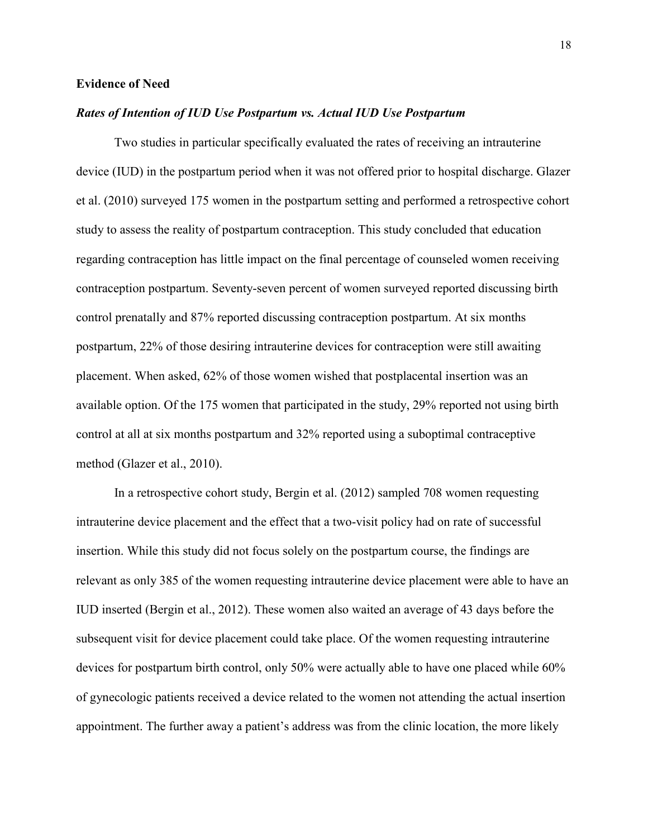#### **Evidence of Need**

#### *Rates of Intention of IUD Use Postpartum vs. Actual IUD Use Postpartum*

Two studies in particular specifically evaluated the rates of receiving an intrauterine device (IUD) in the postpartum period when it was not offered prior to hospital discharge. Glazer et al. (2010) surveyed 175 women in the postpartum setting and performed a retrospective cohort study to assess the reality of postpartum contraception. This study concluded that education regarding contraception has little impact on the final percentage of counseled women receiving contraception postpartum. Seventy-seven percent of women surveyed reported discussing birth control prenatally and 87% reported discussing contraception postpartum. At six months postpartum, 22% of those desiring intrauterine devices for contraception were still awaiting placement. When asked, 62% of those women wished that postplacental insertion was an available option. Of the 175 women that participated in the study, 29% reported not using birth control at all at six months postpartum and 32% reported using a suboptimal contraceptive method (Glazer et al., 2010).

In a retrospective cohort study, Bergin et al. (2012) sampled 708 women requesting intrauterine device placement and the effect that a two-visit policy had on rate of successful insertion. While this study did not focus solely on the postpartum course, the findings are relevant as only 385 of the women requesting intrauterine device placement were able to have an IUD inserted (Bergin et al., 2012). These women also waited an average of 43 days before the subsequent visit for device placement could take place. Of the women requesting intrauterine devices for postpartum birth control, only 50% were actually able to have one placed while 60% of gynecologic patients received a device related to the women not attending the actual insertion appointment. The further away a patient's address was from the clinic location, the more likely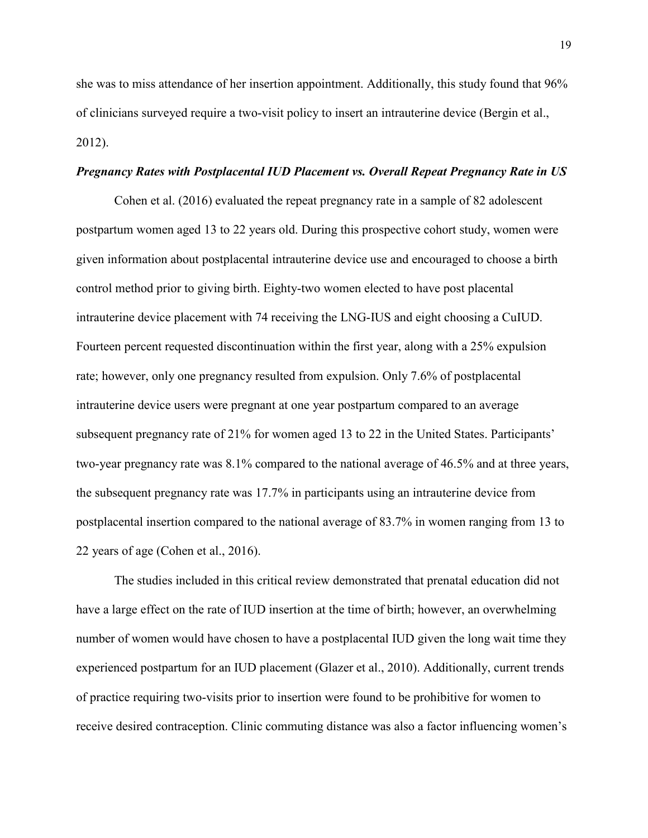she was to miss attendance of her insertion appointment. Additionally, this study found that 96% of clinicians surveyed require a two-visit policy to insert an intrauterine device (Bergin et al., 2012).

#### *Pregnancy Rates with Postplacental IUD Placement vs. Overall Repeat Pregnancy Rate in US*

Cohen et al. (2016) evaluated the repeat pregnancy rate in a sample of 82 adolescent postpartum women aged 13 to 22 years old. During this prospective cohort study, women were given information about postplacental intrauterine device use and encouraged to choose a birth control method prior to giving birth. Eighty-two women elected to have post placental intrauterine device placement with 74 receiving the LNG-IUS and eight choosing a CuIUD. Fourteen percent requested discontinuation within the first year, along with a 25% expulsion rate; however, only one pregnancy resulted from expulsion. Only 7.6% of postplacental intrauterine device users were pregnant at one year postpartum compared to an average subsequent pregnancy rate of 21% for women aged 13 to 22 in the United States. Participants' two-year pregnancy rate was 8.1% compared to the national average of 46.5% and at three years, the subsequent pregnancy rate was 17.7% in participants using an intrauterine device from postplacental insertion compared to the national average of 83.7% in women ranging from 13 to 22 years of age (Cohen et al., 2016).

The studies included in this critical review demonstrated that prenatal education did not have a large effect on the rate of IUD insertion at the time of birth; however, an overwhelming number of women would have chosen to have a postplacental IUD given the long wait time they experienced postpartum for an IUD placement (Glazer et al., 2010). Additionally, current trends of practice requiring two-visits prior to insertion were found to be prohibitive for women to receive desired contraception. Clinic commuting distance was also a factor influencing women's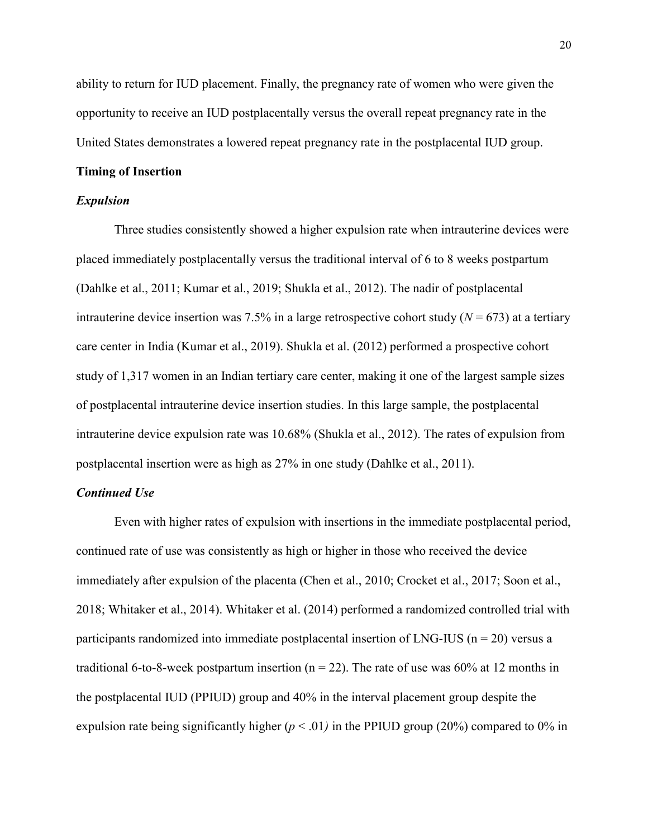ability to return for IUD placement. Finally, the pregnancy rate of women who were given the opportunity to receive an IUD postplacentally versus the overall repeat pregnancy rate in the United States demonstrates a lowered repeat pregnancy rate in the postplacental IUD group.

#### **Timing of Insertion**

#### *Expulsion*

Three studies consistently showed a higher expulsion rate when intrauterine devices were placed immediately postplacentally versus the traditional interval of 6 to 8 weeks postpartum (Dahlke et al., 2011; Kumar et al., 2019; Shukla et al., 2012). The nadir of postplacental intrauterine device insertion was 7.5% in a large retrospective cohort study  $(N = 673)$  at a tertiary care center in India (Kumar et al., 2019). Shukla et al. (2012) performed a prospective cohort study of 1,317 women in an Indian tertiary care center, making it one of the largest sample sizes of postplacental intrauterine device insertion studies. In this large sample, the postplacental intrauterine device expulsion rate was 10.68% (Shukla et al., 2012). The rates of expulsion from postplacental insertion were as high as 27% in one study (Dahlke et al., 2011).

### *Continued Use*

Even with higher rates of expulsion with insertions in the immediate postplacental period, continued rate of use was consistently as high or higher in those who received the device immediately after expulsion of the placenta (Chen et al., 2010; Crocket et al., 2017; Soon et al., 2018; Whitaker et al., 2014). Whitaker et al. (2014) performed a randomized controlled trial with participants randomized into immediate postplacental insertion of LNG-IUS ( $n = 20$ ) versus a traditional 6-to-8-week postpartum insertion ( $n = 22$ ). The rate of use was 60% at 12 months in the postplacental IUD (PPIUD) group and 40% in the interval placement group despite the expulsion rate being significantly higher  $(p < .01)$  in the PPIUD group (20%) compared to 0% in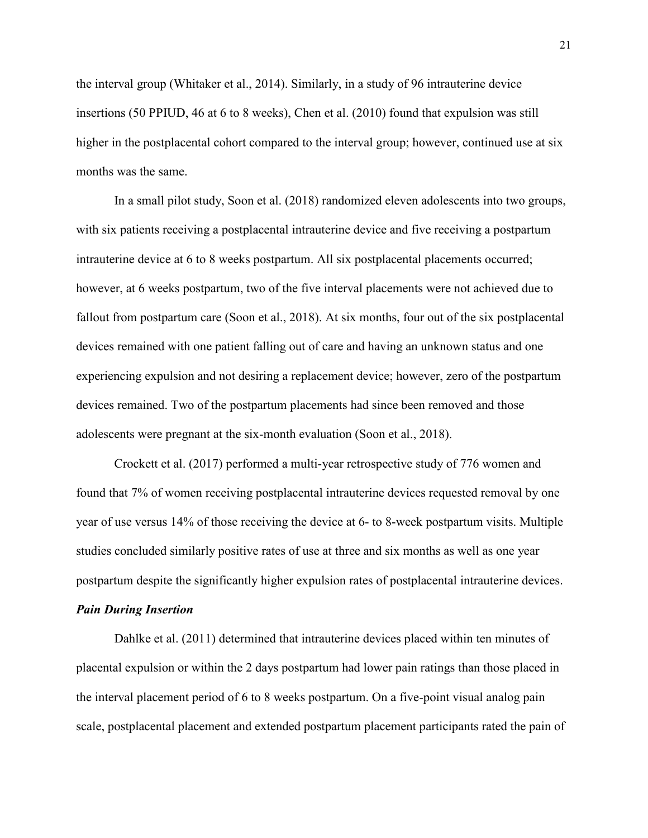the interval group (Whitaker et al., 2014). Similarly, in a study of 96 intrauterine device insertions (50 PPIUD, 46 at 6 to 8 weeks), Chen et al. (2010) found that expulsion was still higher in the postplacental cohort compared to the interval group; however, continued use at six months was the same.

In a small pilot study, Soon et al. (2018) randomized eleven adolescents into two groups, with six patients receiving a postplacental intrauterine device and five receiving a postpartum intrauterine device at 6 to 8 weeks postpartum. All six postplacental placements occurred; however, at 6 weeks postpartum, two of the five interval placements were not achieved due to fallout from postpartum care (Soon et al., 2018). At six months, four out of the six postplacental devices remained with one patient falling out of care and having an unknown status and one experiencing expulsion and not desiring a replacement device; however, zero of the postpartum devices remained. Two of the postpartum placements had since been removed and those adolescents were pregnant at the six-month evaluation (Soon et al., 2018).

Crockett et al. (2017) performed a multi-year retrospective study of 776 women and found that 7% of women receiving postplacental intrauterine devices requested removal by one year of use versus 14% of those receiving the device at 6- to 8-week postpartum visits. Multiple studies concluded similarly positive rates of use at three and six months as well as one year postpartum despite the significantly higher expulsion rates of postplacental intrauterine devices.

#### *Pain During Insertion*

Dahlke et al. (2011) determined that intrauterine devices placed within ten minutes of placental expulsion or within the 2 days postpartum had lower pain ratings than those placed in the interval placement period of 6 to 8 weeks postpartum. On a five-point visual analog pain scale, postplacental placement and extended postpartum placement participants rated the pain of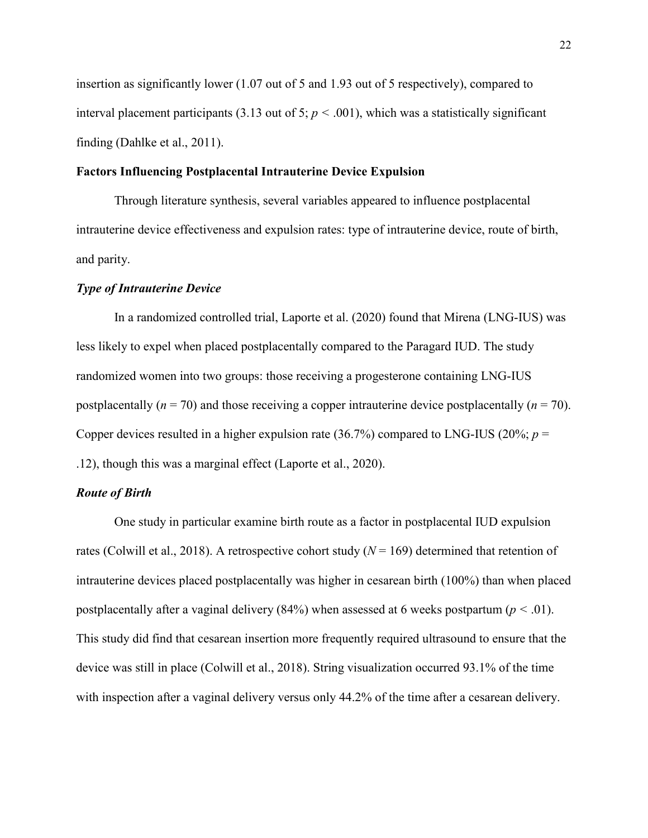insertion as significantly lower (1.07 out of 5 and 1.93 out of 5 respectively), compared to interval placement participants (3.13 out of 5;  $p < .001$ ), which was a statistically significant finding (Dahlke et al., 2011).

#### **Factors Influencing Postplacental Intrauterine Device Expulsion**

Through literature synthesis, several variables appeared to influence postplacental intrauterine device effectiveness and expulsion rates: type of intrauterine device, route of birth, and parity.

#### *Type of Intrauterine Device*

In a randomized controlled trial, Laporte et al. (2020) found that Mirena (LNG-IUS) was less likely to expel when placed postplacentally compared to the Paragard IUD. The study randomized women into two groups: those receiving a progesterone containing LNG-IUS postplacentally  $(n = 70)$  and those receiving a copper intrauterine device postplacentally  $(n = 70)$ . Copper devices resulted in a higher expulsion rate  $(36.7%)$  compared to LNG-IUS  $(20%; p =$ .12), though this was a marginal effect (Laporte et al., 2020).

### *Route of Birth*

One study in particular examine birth route as a factor in postplacental IUD expulsion rates (Colwill et al., 2018). A retrospective cohort study  $(N = 169)$  determined that retention of intrauterine devices placed postplacentally was higher in cesarean birth (100%) than when placed postplacentally after a vaginal delivery (84%) when assessed at 6 weeks postpartum (*p <* .01). This study did find that cesarean insertion more frequently required ultrasound to ensure that the device was still in place (Colwill et al., 2018). String visualization occurred 93.1% of the time with inspection after a vaginal delivery versus only 44.2% of the time after a cesarean delivery.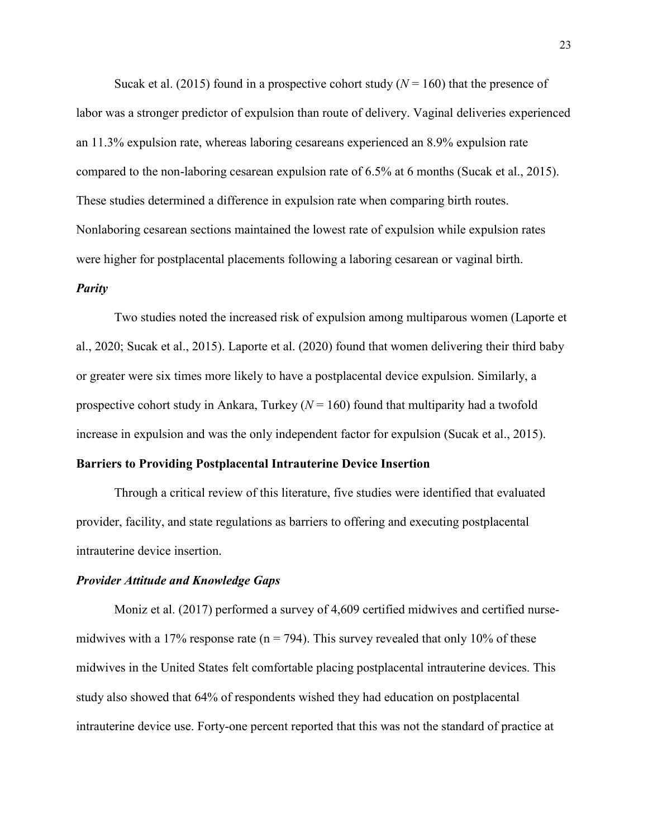Sucak et al. (2015) found in a prospective cohort study  $(N = 160)$  that the presence of labor was a stronger predictor of expulsion than route of delivery. Vaginal deliveries experienced an 11.3% expulsion rate, whereas laboring cesareans experienced an 8.9% expulsion rate compared to the non-laboring cesarean expulsion rate of 6.5% at 6 months (Sucak et al., 2015). These studies determined a difference in expulsion rate when comparing birth routes. Nonlaboring cesarean sections maintained the lowest rate of expulsion while expulsion rates were higher for postplacental placements following a laboring cesarean or vaginal birth. *Parity*

Two studies noted the increased risk of expulsion among multiparous women (Laporte et al., 2020; Sucak et al., 2015). Laporte et al. (2020) found that women delivering their third baby or greater were six times more likely to have a postplacental device expulsion. Similarly, a prospective cohort study in Ankara, Turkey  $(N = 160)$  found that multiparity had a twofold increase in expulsion and was the only independent factor for expulsion (Sucak et al., 2015).

#### **Barriers to Providing Postplacental Intrauterine Device Insertion**

Through a critical review of this literature, five studies were identified that evaluated provider, facility, and state regulations as barriers to offering and executing postplacental intrauterine device insertion.

#### *Provider Attitude and Knowledge Gaps*

Moniz et al. (2017) performed a survey of 4,609 certified midwives and certified nursemidwives with a 17% response rate ( $n = 794$ ). This survey revealed that only 10% of these midwives in the United States felt comfortable placing postplacental intrauterine devices. This study also showed that 64% of respondents wished they had education on postplacental intrauterine device use. Forty-one percent reported that this was not the standard of practice at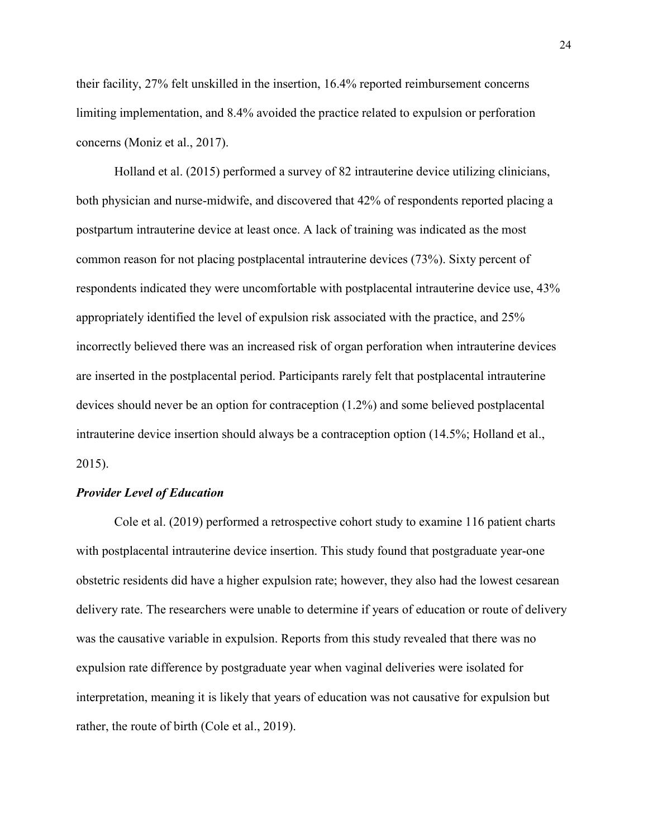their facility, 27% felt unskilled in the insertion, 16.4% reported reimbursement concerns limiting implementation, and 8.4% avoided the practice related to expulsion or perforation concerns (Moniz et al., 2017).

Holland et al. (2015) performed a survey of 82 intrauterine device utilizing clinicians, both physician and nurse-midwife, and discovered that 42% of respondents reported placing a postpartum intrauterine device at least once. A lack of training was indicated as the most common reason for not placing postplacental intrauterine devices (73%). Sixty percent of respondents indicated they were uncomfortable with postplacental intrauterine device use, 43% appropriately identified the level of expulsion risk associated with the practice, and 25% incorrectly believed there was an increased risk of organ perforation when intrauterine devices are inserted in the postplacental period. Participants rarely felt that postplacental intrauterine devices should never be an option for contraception (1.2%) and some believed postplacental intrauterine device insertion should always be a contraception option (14.5%; Holland et al., 2015).

#### *Provider Level of Education*

Cole et al. (2019) performed a retrospective cohort study to examine 116 patient charts with postplacental intrauterine device insertion. This study found that postgraduate year-one obstetric residents did have a higher expulsion rate; however, they also had the lowest cesarean delivery rate. The researchers were unable to determine if years of education or route of delivery was the causative variable in expulsion. Reports from this study revealed that there was no expulsion rate difference by postgraduate year when vaginal deliveries were isolated for interpretation, meaning it is likely that years of education was not causative for expulsion but rather, the route of birth (Cole et al., 2019).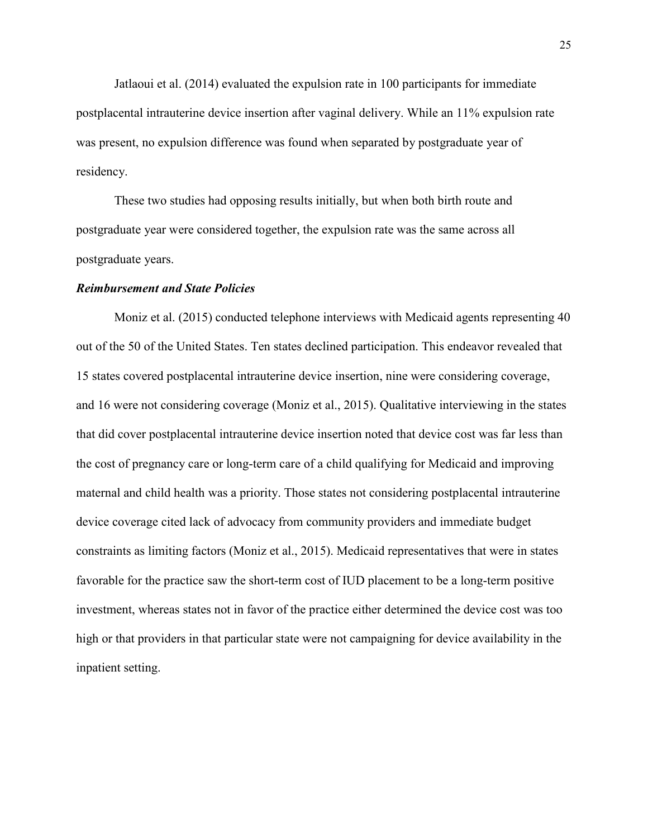Jatlaoui et al. (2014) evaluated the expulsion rate in 100 participants for immediate postplacental intrauterine device insertion after vaginal delivery. While an 11% expulsion rate was present, no expulsion difference was found when separated by postgraduate year of residency.

These two studies had opposing results initially, but when both birth route and postgraduate year were considered together, the expulsion rate was the same across all postgraduate years.

#### *Reimbursement and State Policies*

Moniz et al. (2015) conducted telephone interviews with Medicaid agents representing 40 out of the 50 of the United States. Ten states declined participation. This endeavor revealed that 15 states covered postplacental intrauterine device insertion, nine were considering coverage, and 16 were not considering coverage (Moniz et al., 2015). Qualitative interviewing in the states that did cover postplacental intrauterine device insertion noted that device cost was far less than the cost of pregnancy care or long-term care of a child qualifying for Medicaid and improving maternal and child health was a priority. Those states not considering postplacental intrauterine device coverage cited lack of advocacy from community providers and immediate budget constraints as limiting factors (Moniz et al., 2015). Medicaid representatives that were in states favorable for the practice saw the short-term cost of IUD placement to be a long-term positive investment, whereas states not in favor of the practice either determined the device cost was too high or that providers in that particular state were not campaigning for device availability in the inpatient setting.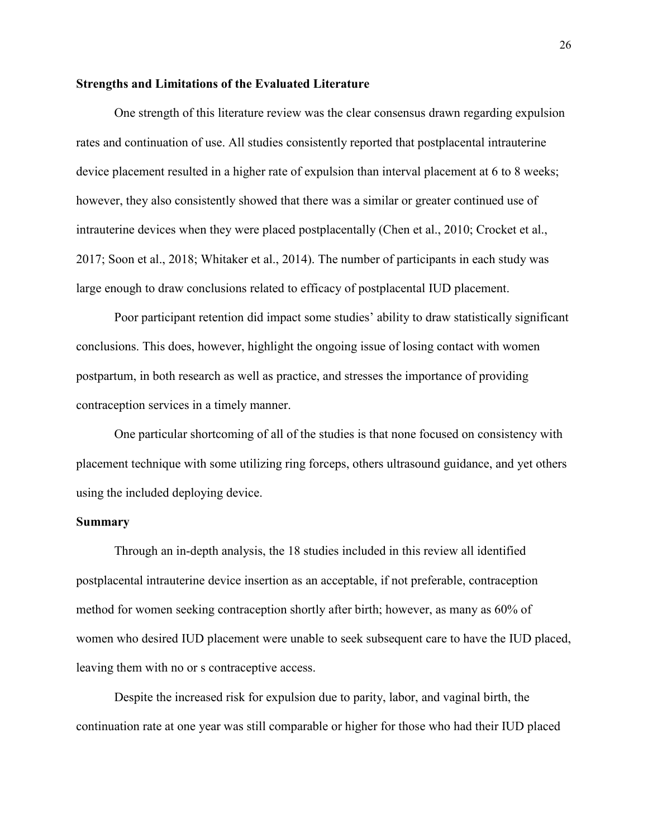#### **Strengths and Limitations of the Evaluated Literature**

 One strength of this literature review was the clear consensus drawn regarding expulsion rates and continuation of use. All studies consistently reported that postplacental intrauterine device placement resulted in a higher rate of expulsion than interval placement at 6 to 8 weeks; however, they also consistently showed that there was a similar or greater continued use of intrauterine devices when they were placed postplacentally (Chen et al., 2010; Crocket et al., 2017; Soon et al., 2018; Whitaker et al., 2014). The number of participants in each study was large enough to draw conclusions related to efficacy of postplacental IUD placement.

Poor participant retention did impact some studies' ability to draw statistically significant conclusions. This does, however, highlight the ongoing issue of losing contact with women postpartum, in both research as well as practice, and stresses the importance of providing contraception services in a timely manner.

One particular shortcoming of all of the studies is that none focused on consistency with placement technique with some utilizing ring forceps, others ultrasound guidance, and yet others using the included deploying device.

#### **Summary**

Through an in-depth analysis, the 18 studies included in this review all identified postplacental intrauterine device insertion as an acceptable, if not preferable, contraception method for women seeking contraception shortly after birth; however, as many as 60% of women who desired IUD placement were unable to seek subsequent care to have the IUD placed, leaving them with no or s contraceptive access.

Despite the increased risk for expulsion due to parity, labor, and vaginal birth, the continuation rate at one year was still comparable or higher for those who had their IUD placed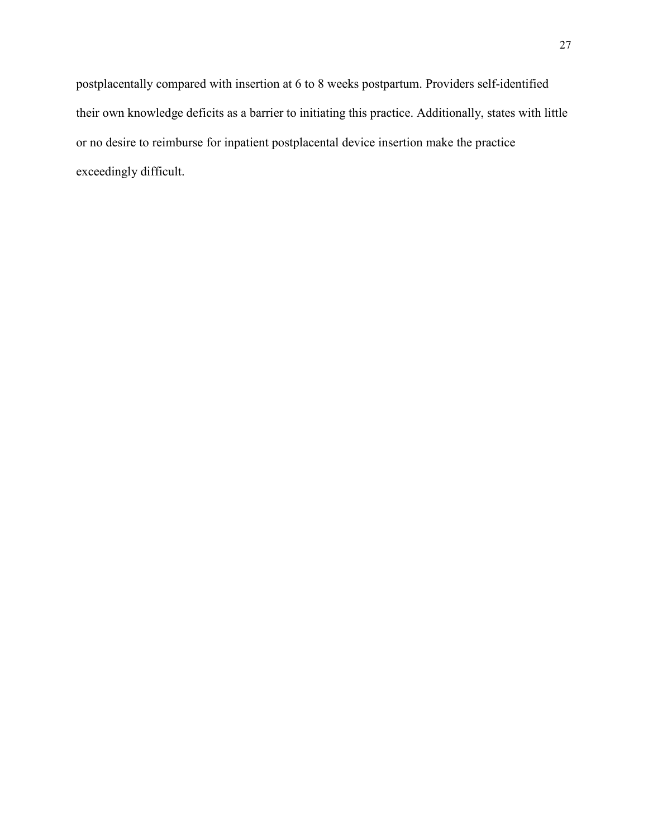postplacentally compared with insertion at 6 to 8 weeks postpartum. Providers self-identified their own knowledge deficits as a barrier to initiating this practice. Additionally, states with little or no desire to reimburse for inpatient postplacental device insertion make the practice exceedingly difficult.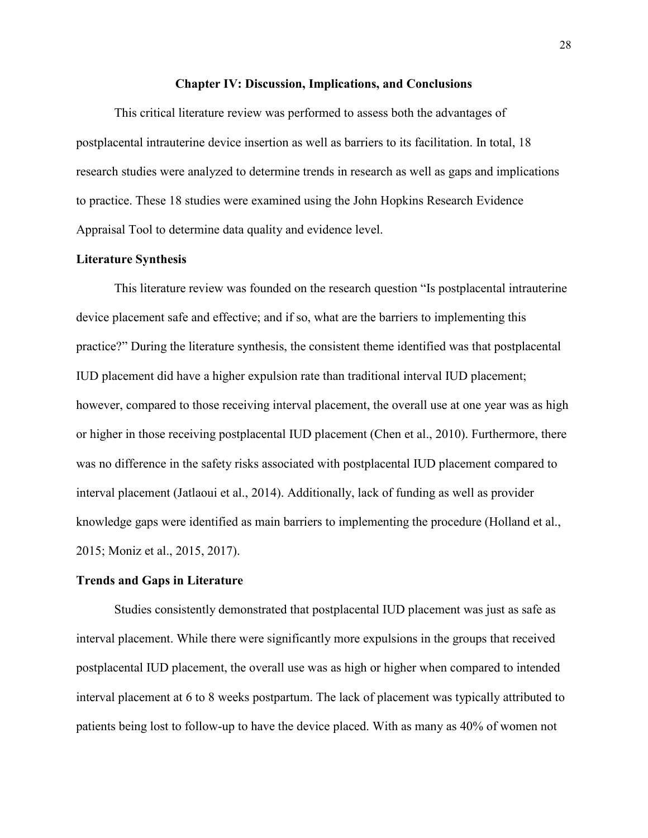#### **Chapter IV: Discussion, Implications, and Conclusions**

This critical literature review was performed to assess both the advantages of postplacental intrauterine device insertion as well as barriers to its facilitation. In total, 18 research studies were analyzed to determine trends in research as well as gaps and implications to practice. These 18 studies were examined using the John Hopkins Research Evidence Appraisal Tool to determine data quality and evidence level.

#### **Literature Synthesis**

This literature review was founded on the research question "Is postplacental intrauterine device placement safe and effective; and if so, what are the barriers to implementing this practice?" During the literature synthesis, the consistent theme identified was that postplacental IUD placement did have a higher expulsion rate than traditional interval IUD placement; however, compared to those receiving interval placement, the overall use at one year was as high or higher in those receiving postplacental IUD placement (Chen et al., 2010). Furthermore, there was no difference in the safety risks associated with postplacental IUD placement compared to interval placement (Jatlaoui et al., 2014). Additionally, lack of funding as well as provider knowledge gaps were identified as main barriers to implementing the procedure (Holland et al., 2015; Moniz et al., 2015, 2017).

#### **Trends and Gaps in Literature**

Studies consistently demonstrated that postplacental IUD placement was just as safe as interval placement. While there were significantly more expulsions in the groups that received postplacental IUD placement, the overall use was as high or higher when compared to intended interval placement at 6 to 8 weeks postpartum. The lack of placement was typically attributed to patients being lost to follow-up to have the device placed. With as many as 40% of women not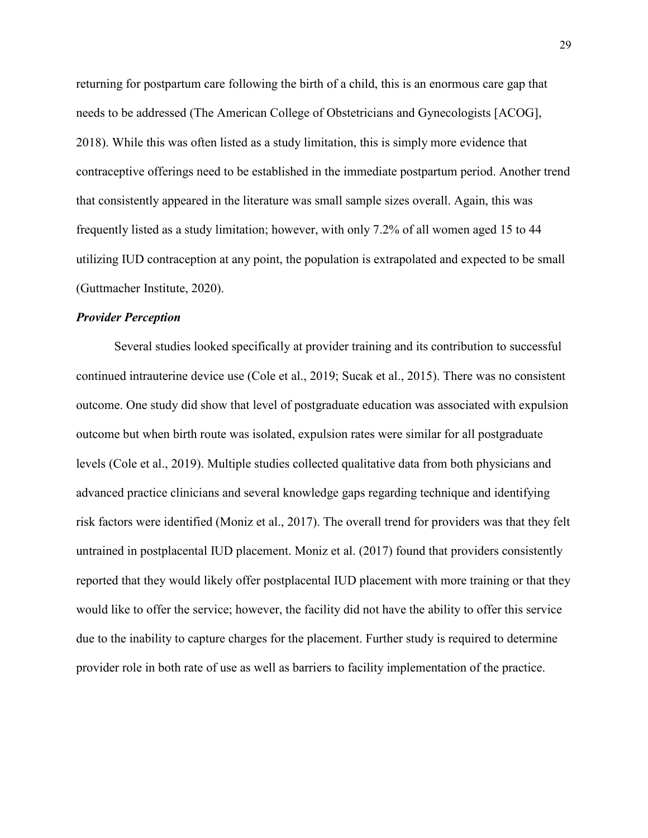returning for postpartum care following the birth of a child, this is an enormous care gap that needs to be addressed (The American College of Obstetricians and Gynecologists [ACOG], 2018). While this was often listed as a study limitation, this is simply more evidence that contraceptive offerings need to be established in the immediate postpartum period. Another trend that consistently appeared in the literature was small sample sizes overall. Again, this was frequently listed as a study limitation; however, with only 7.2% of all women aged 15 to 44 utilizing IUD contraception at any point, the population is extrapolated and expected to be small (Guttmacher Institute, 2020).

#### *Provider Perception*

Several studies looked specifically at provider training and its contribution to successful continued intrauterine device use (Cole et al., 2019; Sucak et al., 2015). There was no consistent outcome. One study did show that level of postgraduate education was associated with expulsion outcome but when birth route was isolated, expulsion rates were similar for all postgraduate levels (Cole et al., 2019). Multiple studies collected qualitative data from both physicians and advanced practice clinicians and several knowledge gaps regarding technique and identifying risk factors were identified (Moniz et al., 2017). The overall trend for providers was that they felt untrained in postplacental IUD placement. Moniz et al. (2017) found that providers consistently reported that they would likely offer postplacental IUD placement with more training or that they would like to offer the service; however, the facility did not have the ability to offer this service due to the inability to capture charges for the placement. Further study is required to determine provider role in both rate of use as well as barriers to facility implementation of the practice.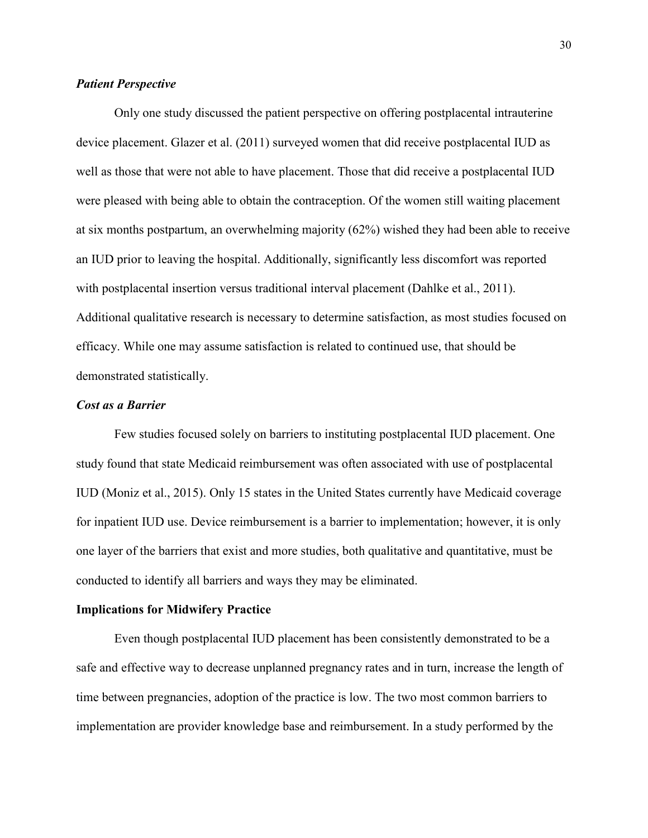### *Patient Perspective*

Only one study discussed the patient perspective on offering postplacental intrauterine device placement. Glazer et al. (2011) surveyed women that did receive postplacental IUD as well as those that were not able to have placement. Those that did receive a postplacental IUD were pleased with being able to obtain the contraception. Of the women still waiting placement at six months postpartum, an overwhelming majority (62%) wished they had been able to receive an IUD prior to leaving the hospital. Additionally, significantly less discomfort was reported with postplacental insertion versus traditional interval placement (Dahlke et al., 2011). Additional qualitative research is necessary to determine satisfaction, as most studies focused on efficacy. While one may assume satisfaction is related to continued use, that should be demonstrated statistically.

#### *Cost as a Barrier*

Few studies focused solely on barriers to instituting postplacental IUD placement. One study found that state Medicaid reimbursement was often associated with use of postplacental IUD (Moniz et al., 2015). Only 15 states in the United States currently have Medicaid coverage for inpatient IUD use. Device reimbursement is a barrier to implementation; however, it is only one layer of the barriers that exist and more studies, both qualitative and quantitative, must be conducted to identify all barriers and ways they may be eliminated.

#### **Implications for Midwifery Practice**

Even though postplacental IUD placement has been consistently demonstrated to be a safe and effective way to decrease unplanned pregnancy rates and in turn, increase the length of time between pregnancies, adoption of the practice is low. The two most common barriers to implementation are provider knowledge base and reimbursement. In a study performed by the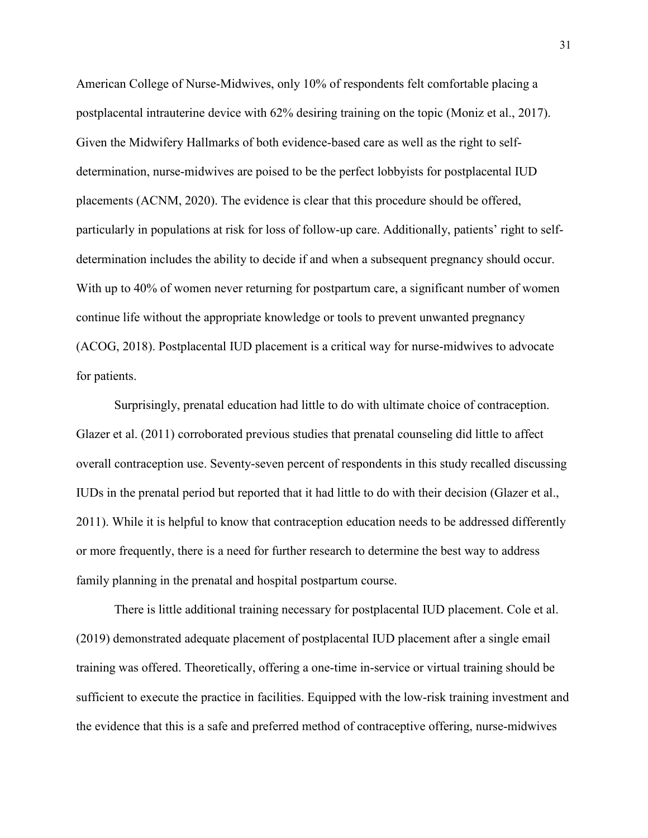American College of Nurse-Midwives, only 10% of respondents felt comfortable placing a postplacental intrauterine device with 62% desiring training on the topic (Moniz et al., 2017). Given the Midwifery Hallmarks of both evidence-based care as well as the right to selfdetermination, nurse-midwives are poised to be the perfect lobbyists for postplacental IUD placements (ACNM, 2020). The evidence is clear that this procedure should be offered, particularly in populations at risk for loss of follow-up care. Additionally, patients' right to selfdetermination includes the ability to decide if and when a subsequent pregnancy should occur. With up to 40% of women never returning for postpartum care, a significant number of women continue life without the appropriate knowledge or tools to prevent unwanted pregnancy (ACOG, 2018). Postplacental IUD placement is a critical way for nurse-midwives to advocate for patients.

Surprisingly, prenatal education had little to do with ultimate choice of contraception. Glazer et al. (2011) corroborated previous studies that prenatal counseling did little to affect overall contraception use. Seventy-seven percent of respondents in this study recalled discussing IUDs in the prenatal period but reported that it had little to do with their decision (Glazer et al., 2011). While it is helpful to know that contraception education needs to be addressed differently or more frequently, there is a need for further research to determine the best way to address family planning in the prenatal and hospital postpartum course.

There is little additional training necessary for postplacental IUD placement. Cole et al. (2019) demonstrated adequate placement of postplacental IUD placement after a single email training was offered. Theoretically, offering a one-time in-service or virtual training should be sufficient to execute the practice in facilities. Equipped with the low-risk training investment and the evidence that this is a safe and preferred method of contraceptive offering, nurse-midwives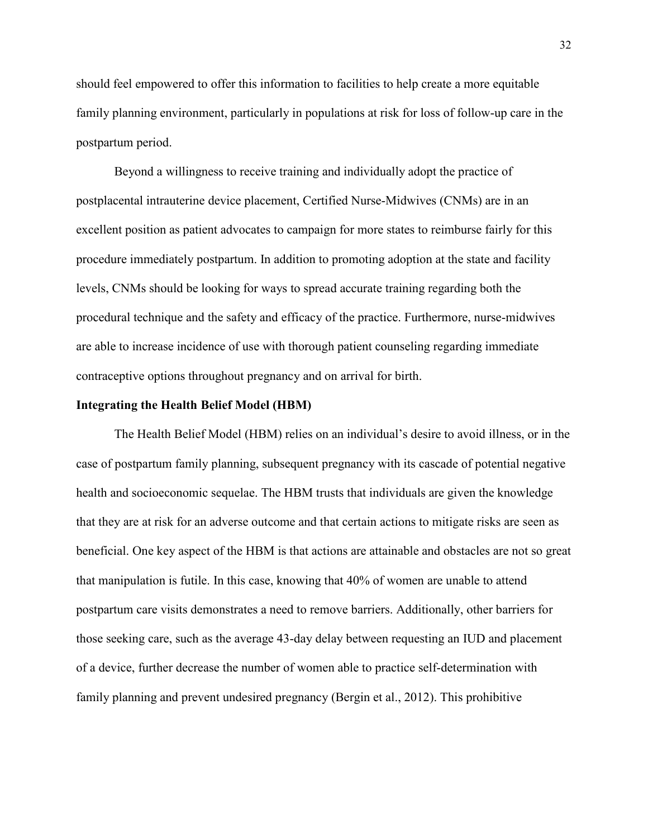should feel empowered to offer this information to facilities to help create a more equitable family planning environment, particularly in populations at risk for loss of follow-up care in the postpartum period.

Beyond a willingness to receive training and individually adopt the practice of postplacental intrauterine device placement, Certified Nurse-Midwives (CNMs) are in an excellent position as patient advocates to campaign for more states to reimburse fairly for this procedure immediately postpartum. In addition to promoting adoption at the state and facility levels, CNMs should be looking for ways to spread accurate training regarding both the procedural technique and the safety and efficacy of the practice. Furthermore, nurse-midwives are able to increase incidence of use with thorough patient counseling regarding immediate contraceptive options throughout pregnancy and on arrival for birth.

#### **Integrating the Health Belief Model (HBM)**

The Health Belief Model (HBM) relies on an individual's desire to avoid illness, or in the case of postpartum family planning, subsequent pregnancy with its cascade of potential negative health and socioeconomic sequelae. The HBM trusts that individuals are given the knowledge that they are at risk for an adverse outcome and that certain actions to mitigate risks are seen as beneficial. One key aspect of the HBM is that actions are attainable and obstacles are not so great that manipulation is futile. In this case, knowing that 40% of women are unable to attend postpartum care visits demonstrates a need to remove barriers. Additionally, other barriers for those seeking care, such as the average 43-day delay between requesting an IUD and placement of a device, further decrease the number of women able to practice self-determination with family planning and prevent undesired pregnancy (Bergin et al., 2012). This prohibitive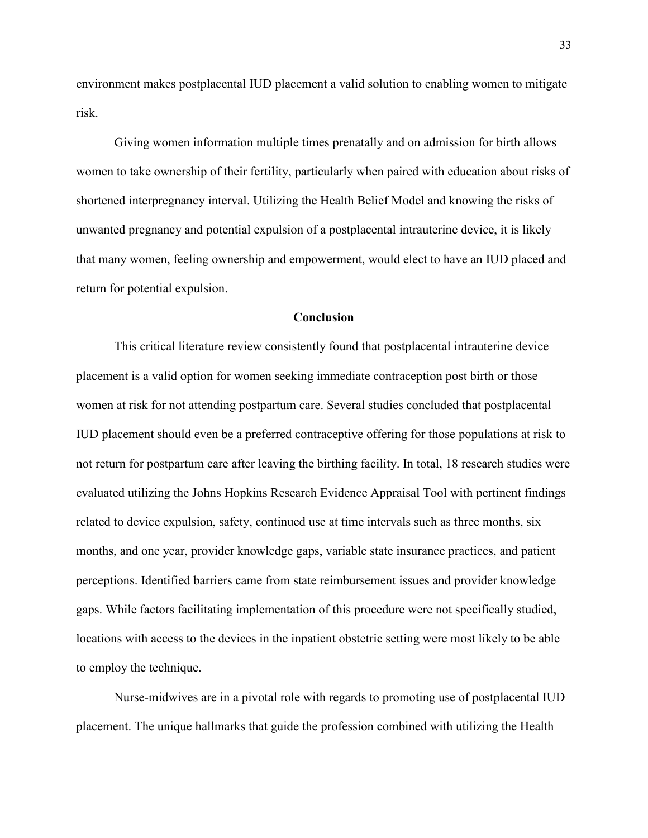environment makes postplacental IUD placement a valid solution to enabling women to mitigate risk.

Giving women information multiple times prenatally and on admission for birth allows women to take ownership of their fertility, particularly when paired with education about risks of shortened interpregnancy interval. Utilizing the Health Belief Model and knowing the risks of unwanted pregnancy and potential expulsion of a postplacental intrauterine device, it is likely that many women, feeling ownership and empowerment, would elect to have an IUD placed and return for potential expulsion.

#### **Conclusion**

This critical literature review consistently found that postplacental intrauterine device placement is a valid option for women seeking immediate contraception post birth or those women at risk for not attending postpartum care. Several studies concluded that postplacental IUD placement should even be a preferred contraceptive offering for those populations at risk to not return for postpartum care after leaving the birthing facility. In total, 18 research studies were evaluated utilizing the Johns Hopkins Research Evidence Appraisal Tool with pertinent findings related to device expulsion, safety, continued use at time intervals such as three months, six months, and one year, provider knowledge gaps, variable state insurance practices, and patient perceptions. Identified barriers came from state reimbursement issues and provider knowledge gaps. While factors facilitating implementation of this procedure were not specifically studied, locations with access to the devices in the inpatient obstetric setting were most likely to be able to employ the technique.

Nurse-midwives are in a pivotal role with regards to promoting use of postplacental IUD placement. The unique hallmarks that guide the profession combined with utilizing the Health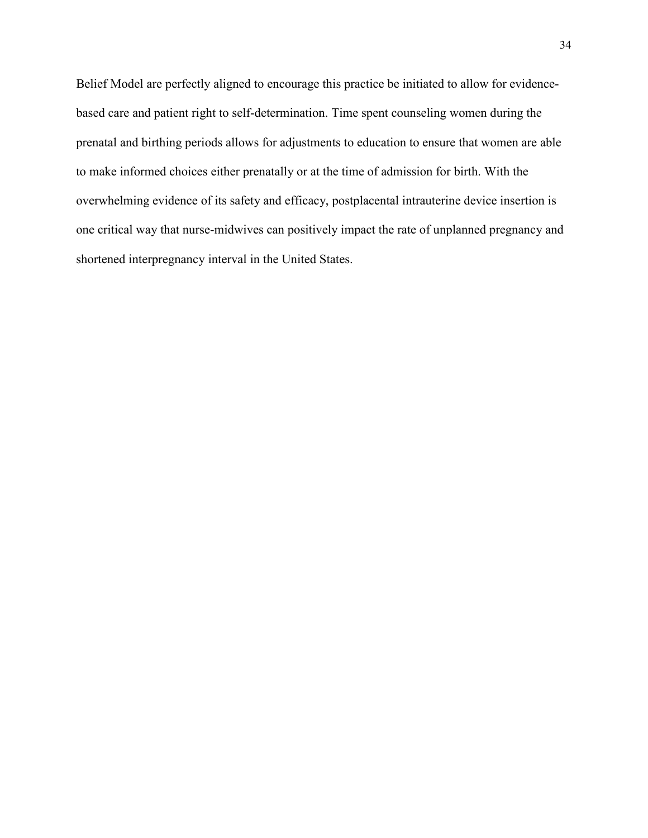Belief Model are perfectly aligned to encourage this practice be initiated to allow for evidencebased care and patient right to self-determination. Time spent counseling women during the prenatal and birthing periods allows for adjustments to education to ensure that women are able to make informed choices either prenatally or at the time of admission for birth. With the overwhelming evidence of its safety and efficacy, postplacental intrauterine device insertion is one critical way that nurse-midwives can positively impact the rate of unplanned pregnancy and shortened interpregnancy interval in the United States.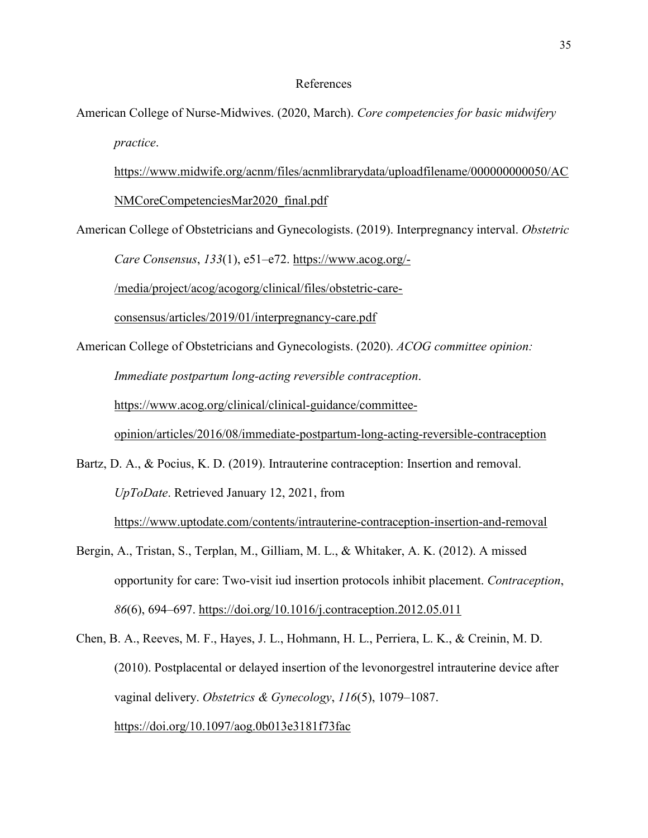#### References

American College of Nurse-Midwives. (2020, March). *Core competencies for basic midwifery practice*.

[https://www.midwife.org/acnm/files/acnmlibrarydata/uploadfilename/000000000050/AC](https://www.midwife.org/acnm/files/acnmlibrarydata/uploadfilename/000000000050/ACNMCoreCompetenciesMar2020_final.pdf) [NMCoreCompetenciesMar2020\\_final.pdf](https://www.midwife.org/acnm/files/acnmlibrarydata/uploadfilename/000000000050/ACNMCoreCompetenciesMar2020_final.pdf)

American College of Obstetricians and Gynecologists. (2019). Interpregnancy interval. *Obstetric* 

*Care Consensus*, *133*(1), e51–e72. [https://www.acog.org/-](https://www.acog.org/-/media/project/acog/acogorg/clinical/files/obstetric-care-consensus/articles/2019/01/interpregnancy-care.pdf)

[/media/project/acog/acogorg/clinical/files/obstetric-care-](https://www.acog.org/-/media/project/acog/acogorg/clinical/files/obstetric-care-consensus/articles/2019/01/interpregnancy-care.pdf)

[consensus/articles/2019/01/interpregnancy-care.pdf](https://www.acog.org/-/media/project/acog/acogorg/clinical/files/obstetric-care-consensus/articles/2019/01/interpregnancy-care.pdf)

American College of Obstetricians and Gynecologists. (2020). *ACOG committee opinion: Immediate postpartum long-acting reversible contraception*.

[https://www.acog.org/clinical/clinical-guidance/committee-](https://www.acog.org/clinical/clinical-guidance/committee-opinion/articles/2016/08/immediate-postpartum-long-acting-reversible-contraception)

[opinion/articles/2016/08/immediate-postpartum-long-acting-reversible-contraception](https://www.acog.org/clinical/clinical-guidance/committee-opinion/articles/2016/08/immediate-postpartum-long-acting-reversible-contraception)

Bartz, D. A., & Pocius, K. D. (2019). Intrauterine contraception: Insertion and removal. *UpToDate*. Retrieved January 12, 2021, from <https://www.uptodate.com/contents/intrauterine-contraception-insertion-and-removal>

Bergin, A., Tristan, S., Terplan, M., Gilliam, M. L., & Whitaker, A. K. (2012). A missed opportunity for care: Two-visit iud insertion protocols inhibit placement. *Contraception*, *86*(6), 694–697.<https://doi.org/10.1016/j.contraception.2012.05.011>

Chen, B. A., Reeves, M. F., Hayes, J. L., Hohmann, H. L., Perriera, L. K., & Creinin, M. D. (2010). Postplacental or delayed insertion of the levonorgestrel intrauterine device after vaginal delivery. *Obstetrics & Gynecology*, *116*(5), 1079–1087. <https://doi.org/10.1097/aog.0b013e3181f73fac>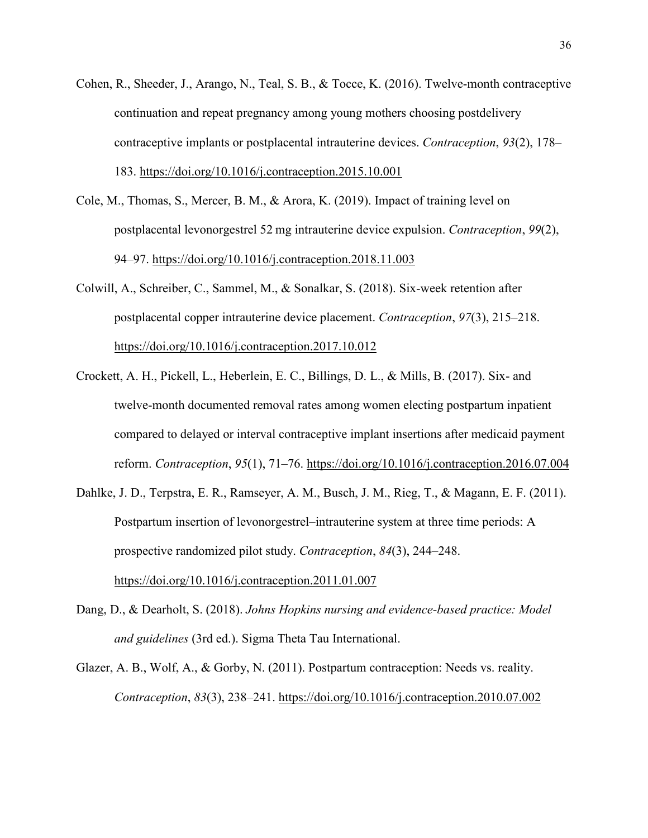- Cohen, R., Sheeder, J., Arango, N., Teal, S. B., & Tocce, K. (2016). Twelve-month contraceptive continuation and repeat pregnancy among young mothers choosing postdelivery contraceptive implants or postplacental intrauterine devices. *Contraception*, *93*(2), 178– 183.<https://doi.org/10.1016/j.contraception.2015.10.001>
- Cole, M., Thomas, S., Mercer, B. M., & Arora, K. (2019). Impact of training level on postplacental levonorgestrel 52 mg intrauterine device expulsion. *Contraception*, *99*(2), 94–97.<https://doi.org/10.1016/j.contraception.2018.11.003>
- Colwill, A., Schreiber, C., Sammel, M., & Sonalkar, S. (2018). Six-week retention after postplacental copper intrauterine device placement. *Contraception*, *97*(3), 215–218. <https://doi.org/10.1016/j.contraception.2017.10.012>
- Crockett, A. H., Pickell, L., Heberlein, E. C., Billings, D. L., & Mills, B. (2017). Six- and twelve-month documented removal rates among women electing postpartum inpatient compared to delayed or interval contraceptive implant insertions after medicaid payment reform. *Contraception*, *95*(1), 71–76.<https://doi.org/10.1016/j.contraception.2016.07.004>
- Dahlke, J. D., Terpstra, E. R., Ramseyer, A. M., Busch, J. M., Rieg, T., & Magann, E. F. (2011). Postpartum insertion of levonorgestrel–intrauterine system at three time periods: A prospective randomized pilot study. *Contraception*, *84*(3), 244–248. <https://doi.org/10.1016/j.contraception.2011.01.007>
- Dang, D., & Dearholt, S. (2018). *Johns Hopkins nursing and evidence-based practice: Model and guidelines* (3rd ed.). Sigma Theta Tau International.
- Glazer, A. B., Wolf, A., & Gorby, N. (2011). Postpartum contraception: Needs vs. reality. *Contraception*, *83*(3), 238–241.<https://doi.org/10.1016/j.contraception.2010.07.002>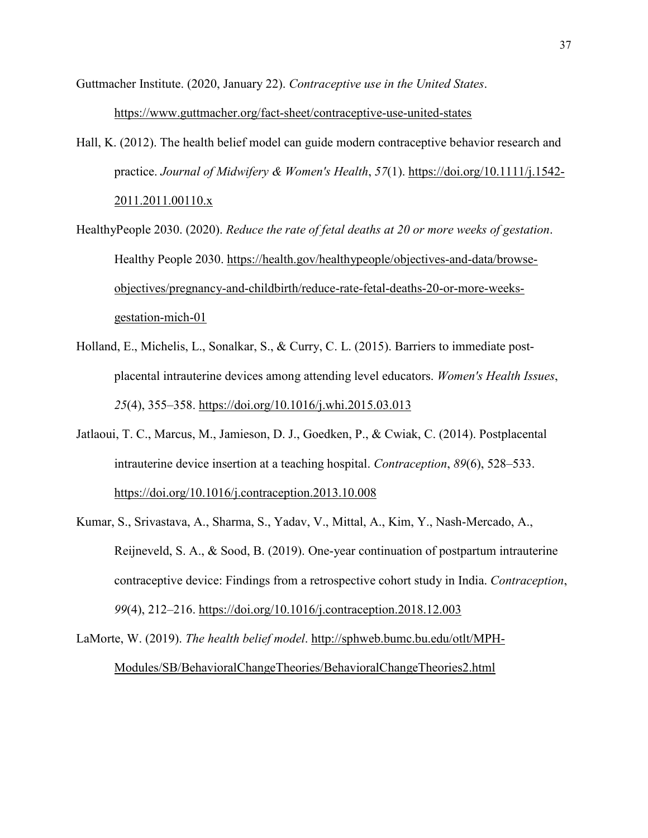Guttmacher Institute. (2020, January 22). *Contraceptive use in the United States*. <https://www.guttmacher.org/fact-sheet/contraceptive-use-united-states>

- Hall, K. (2012). The health belief model can guide modern contraceptive behavior research and practice. *Journal of Midwifery & Women's Health*, *57*(1). [https://doi.org/10.1111/j.1542-](https://doi.org/10.1111/j.1542-2011.2011.00110.x) [2011.2011.00110.x](https://doi.org/10.1111/j.1542-2011.2011.00110.x)
- HealthyPeople 2030. (2020). *Reduce the rate of fetal deaths at 20 or more weeks of gestation*. Healthy People 2030. [https://health.gov/healthypeople/objectives-and-data/browse](https://health.gov/healthypeople/objectives-and-data/browse-objectives/pregnancy-and-childbirth/reduce-rate-fetal-deaths-20-or-more-weeks-gestation-mich-01)[objectives/pregnancy-and-childbirth/reduce-rate-fetal-deaths-20-or-more-weeks](https://health.gov/healthypeople/objectives-and-data/browse-objectives/pregnancy-and-childbirth/reduce-rate-fetal-deaths-20-or-more-weeks-gestation-mich-01)[gestation-mich-01](https://health.gov/healthypeople/objectives-and-data/browse-objectives/pregnancy-and-childbirth/reduce-rate-fetal-deaths-20-or-more-weeks-gestation-mich-01)
- Holland, E., Michelis, L., Sonalkar, S., & Curry, C. L. (2015). Barriers to immediate postplacental intrauterine devices among attending level educators. *Women's Health Issues*, *25*(4), 355–358.<https://doi.org/10.1016/j.whi.2015.03.013>
- Jatlaoui, T. C., Marcus, M., Jamieson, D. J., Goedken, P., & Cwiak, C. (2014). Postplacental intrauterine device insertion at a teaching hospital. *Contraception*, *89*(6), 528–533. <https://doi.org/10.1016/j.contraception.2013.10.008>
- Kumar, S., Srivastava, A., Sharma, S., Yadav, V., Mittal, A., Kim, Y., Nash-Mercado, A., Reijneveld, S. A., & Sood, B. (2019). One-year continuation of postpartum intrauterine contraceptive device: Findings from a retrospective cohort study in India. *Contraception*, *99*(4), 212–216.<https://doi.org/10.1016/j.contraception.2018.12.003>

LaMorte, W. (2019). *The health belief model*. [http://sphweb.bumc.bu.edu/otlt/MPH-](http://sphweb.bumc.bu.edu/otlt/MPH-Modules/SB/BehavioralChangeTheories/BehavioralChangeTheories2.html)[Modules/SB/BehavioralChangeTheories/BehavioralChangeTheories2.html](http://sphweb.bumc.bu.edu/otlt/MPH-Modules/SB/BehavioralChangeTheories/BehavioralChangeTheories2.html)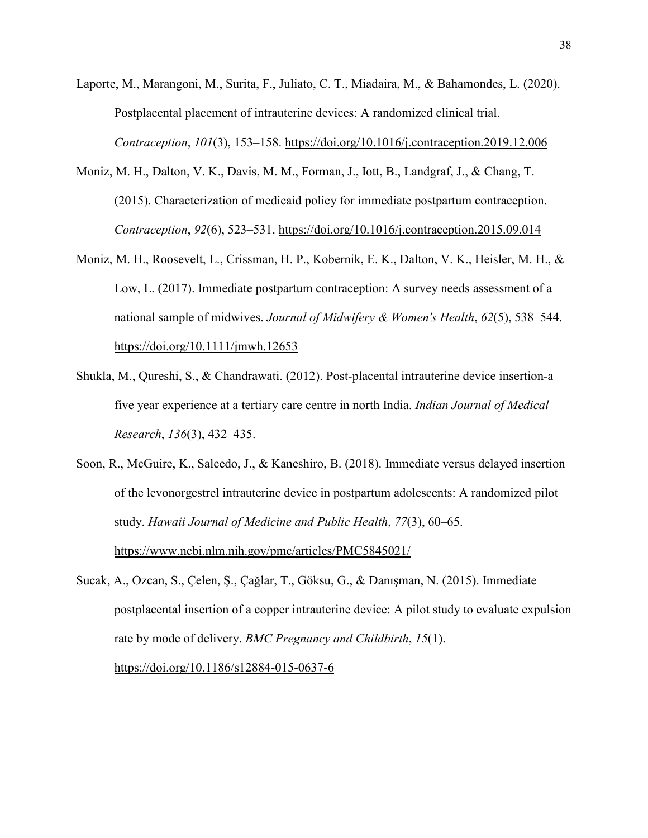- Laporte, M., Marangoni, M., Surita, F., Juliato, C. T., Miadaira, M., & Bahamondes, L. (2020). Postplacental placement of intrauterine devices: A randomized clinical trial. *Contraception*, *101*(3), 153–158.<https://doi.org/10.1016/j.contraception.2019.12.006>
- Moniz, M. H., Dalton, V. K., Davis, M. M., Forman, J., Iott, B., Landgraf, J., & Chang, T. (2015). Characterization of medicaid policy for immediate postpartum contraception. *Contraception*, *92*(6), 523–531.<https://doi.org/10.1016/j.contraception.2015.09.014>
- Moniz, M. H., Roosevelt, L., Crissman, H. P., Kobernik, E. K., Dalton, V. K., Heisler, M. H., & Low, L. (2017). Immediate postpartum contraception: A survey needs assessment of a national sample of midwives. *Journal of Midwifery & Women's Health*, *62*(5), 538–544. <https://doi.org/10.1111/jmwh.12653>
- Shukla, M., Qureshi, S., & Chandrawati. (2012). Post-placental intrauterine device insertion-a five year experience at a tertiary care centre in north India. *Indian Journal of Medical Research*, *136*(3), 432–435.
- Soon, R., McGuire, K., Salcedo, J., & Kaneshiro, B. (2018). Immediate versus delayed insertion of the levonorgestrel intrauterine device in postpartum adolescents: A randomized pilot study. *Hawaii Journal of Medicine and Public Health*, *77*(3), 60–65. <https://www.ncbi.nlm.nih.gov/pmc/articles/PMC5845021/>
- Sucak, A., Ozcan, S., Çelen, Ş., Çağlar, T., Göksu, G., & Danışman, N. (2015). Immediate postplacental insertion of a copper intrauterine device: A pilot study to evaluate expulsion rate by mode of delivery. *BMC Pregnancy and Childbirth*, *15*(1).

<https://doi.org/10.1186/s12884-015-0637-6>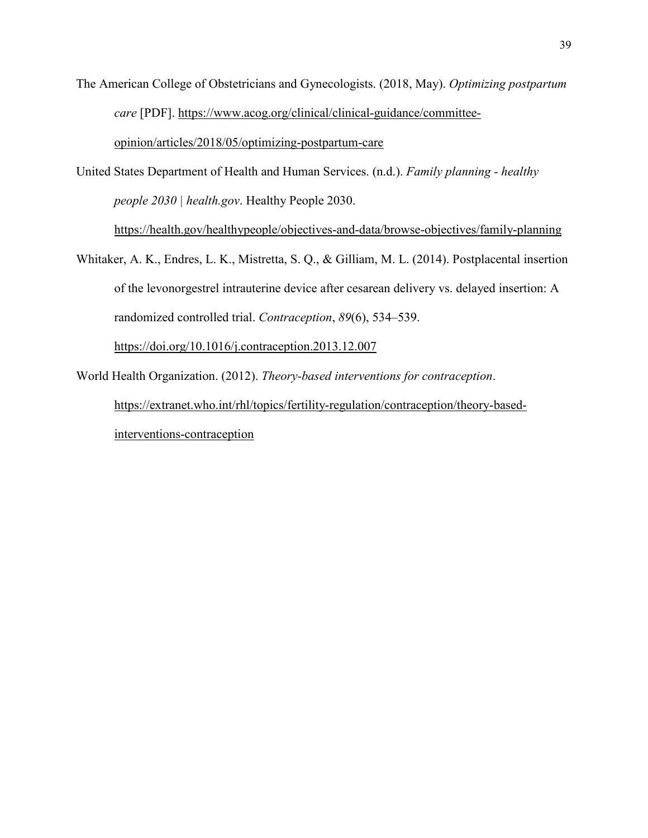- The American College of Obstetricians and Gynecologists. (2018, May). *Optimizing postpartum care* [PDF]. [https://www.acog.org/clinical/clinical-guidance/committee](https://www.acog.org/clinical/clinical-guidance/committee-opinion/articles/2018/05/optimizing-postpartum-care)[opinion/articles/2018/05/optimizing-postpartum-care](https://www.acog.org/clinical/clinical-guidance/committee-opinion/articles/2018/05/optimizing-postpartum-care)
- United States Department of Health and Human Services. (n.d.). *Family planning healthy people 2030 | health.gov*. Healthy People 2030.

<https://health.gov/healthypeople/objectives-and-data/browse-objectives/family-planning>

- Whitaker, A. K., Endres, L. K., Mistretta, S. Q., & Gilliam, M. L. (2014). Postplacental insertion of the levonorgestrel intrauterine device after cesarean delivery vs. delayed insertion: A randomized controlled trial. *Contraception*, *89*(6), 534–539. <https://doi.org/10.1016/j.contraception.2013.12.007>
- World Health Organization. (2012). *Theory-based interventions for contraception*. [https://extranet.who.int/rhl/topics/fertility-regulation/contraception/theory-based](https://extranet.who.int/rhl/topics/fertility-regulation/contraception/theory-based-interventions-contraception)[interventions-contraception](https://extranet.who.int/rhl/topics/fertility-regulation/contraception/theory-based-interventions-contraception)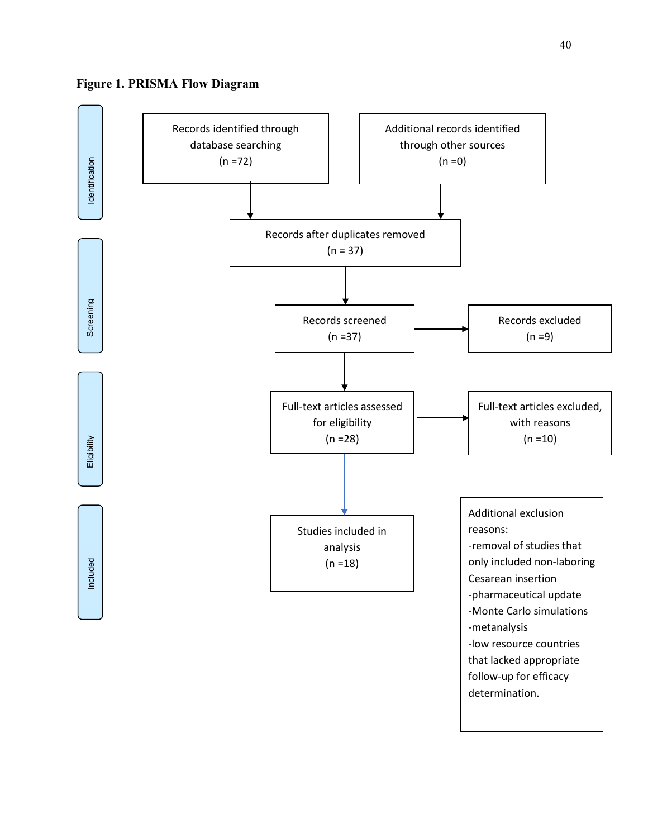

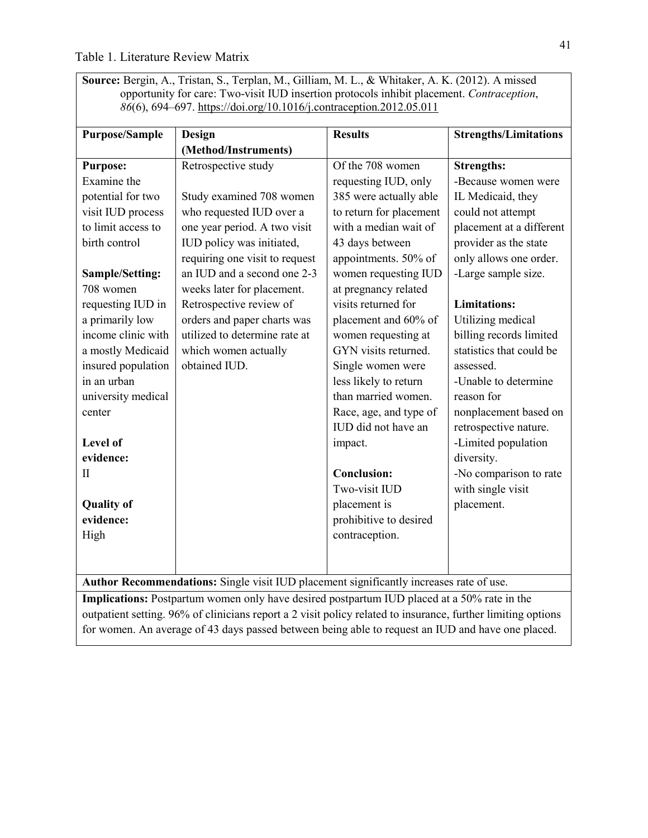**Source:** Bergin, A., Tristan, S., Terplan, M., Gilliam, M. L., & Whitaker, A. K. (2012). A missed opportunity for care: Two-visit IUD insertion protocols inhibit placement. *Contraception*, *86*(6), 694–697.<https://doi.org/10.1016/j.contraception.2012.05.011>

| <b>Purpose/Sample</b> | <b>Design</b>                                                                           | <b>Results</b>          | <b>Strengths/Limitations</b> |
|-----------------------|-----------------------------------------------------------------------------------------|-------------------------|------------------------------|
|                       | (Method/Instruments)                                                                    |                         |                              |
| <b>Purpose:</b>       | Retrospective study                                                                     | Of the 708 women        | <b>Strengths:</b>            |
| Examine the           |                                                                                         | requesting IUD, only    | -Because women were          |
| potential for two     | Study examined 708 women                                                                | 385 were actually able  | IL Medicaid, they            |
| visit IUD process     | who requested IUD over a                                                                | to return for placement | could not attempt            |
| to limit access to    | one year period. A two visit                                                            | with a median wait of   | placement at a different     |
| birth control         | IUD policy was initiated,                                                               | 43 days between         | provider as the state        |
|                       | requiring one visit to request                                                          | appointments. 50% of    | only allows one order.       |
| Sample/Setting:       | an IUD and a second one 2-3                                                             | women requesting IUD    | -Large sample size.          |
| 708 women             | weeks later for placement.                                                              | at pregnancy related    |                              |
| requesting IUD in     | Retrospective review of                                                                 | visits returned for     | <b>Limitations:</b>          |
| a primarily low       | orders and paper charts was                                                             | placement and 60% of    | Utilizing medical            |
| income clinic with    | utilized to determine rate at                                                           | women requesting at     | billing records limited      |
| a mostly Medicaid     | which women actually                                                                    | GYN visits returned.    | statistics that could be     |
| insured population    | obtained IUD.                                                                           | Single women were       | assessed.                    |
| in an urban           |                                                                                         | less likely to return   | -Unable to determine         |
| university medical    |                                                                                         | than married women.     | reason for                   |
| center                |                                                                                         | Race, age, and type of  | nonplacement based on        |
|                       |                                                                                         | IUD did not have an     | retrospective nature.        |
| <b>Level of</b>       |                                                                                         | impact.                 | -Limited population          |
| evidence:             |                                                                                         |                         | diversity.                   |
| $\mathbf{I}$          |                                                                                         | <b>Conclusion:</b>      | -No comparison to rate       |
|                       |                                                                                         | Two-visit IUD           | with single visit            |
| <b>Quality of</b>     |                                                                                         | placement is            | placement.                   |
| evidence:             |                                                                                         | prohibitive to desired  |                              |
| High                  |                                                                                         | contraception.          |                              |
|                       |                                                                                         |                         |                              |
|                       |                                                                                         |                         |                              |
|                       | Author Recommendations: Single visit IUD placement significantly increases rate of use. |                         |                              |

**Implications:** Postpartum women only have desired postpartum IUD placed at a 50% rate in the outpatient setting. 96% of clinicians report a 2 visit policy related to insurance, further limiting options for women. An average of 43 days passed between being able to request an IUD and have one placed.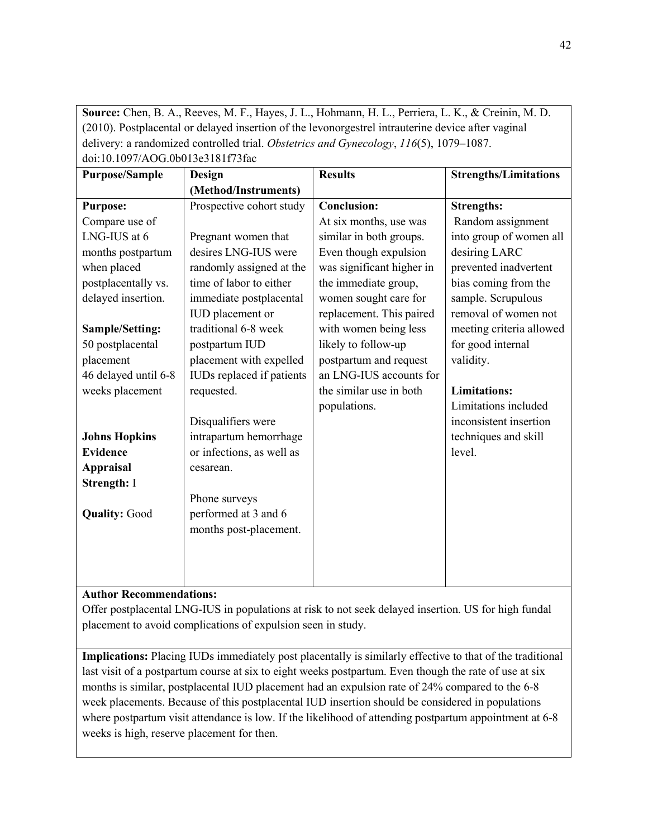**Source:** Chen, B. A., Reeves, M. F., Hayes, J. L., Hohmann, H. L., Perriera, L. K., & Creinin, M. D. (2010). Postplacental or delayed insertion of the levonorgestrel intrauterine device after vaginal delivery: a randomized controlled trial. *Obstetrics and Gynecology*, *116*(5), 1079–1087. doi:10.1097/AOG.0b013e3181f73fac

| <u>001.10.107/71000.00019091011/9100</u> |                           |                           |                              |
|------------------------------------------|---------------------------|---------------------------|------------------------------|
| <b>Purpose/Sample</b>                    | <b>Design</b>             | <b>Results</b>            | <b>Strengths/Limitations</b> |
|                                          | (Method/Instruments)      |                           |                              |
| <b>Purpose:</b>                          | Prospective cohort study  | <b>Conclusion:</b>        | <b>Strengths:</b>            |
| Compare use of                           |                           | At six months, use was    | Random assignment            |
| LNG-IUS at 6                             | Pregnant women that       | similar in both groups.   | into group of women all      |
| months postpartum                        | desires LNG-IUS were      | Even though expulsion     | desiring LARC                |
| when placed                              | randomly assigned at the  | was significant higher in | prevented inadvertent        |
| postplacentally vs.                      | time of labor to either   | the immediate group,      | bias coming from the         |
| delayed insertion.                       | immediate postplacental   | women sought care for     | sample. Scrupulous           |
|                                          | IUD placement or          | replacement. This paired  | removal of women not         |
| <b>Sample/Setting:</b>                   | traditional 6-8 week      | with women being less     | meeting criteria allowed     |
| 50 postplacental                         | postpartum IUD            | likely to follow-up       | for good internal            |
| placement                                | placement with expelled   | postpartum and request    | validity.                    |
| 46 delayed until 6-8                     | IUDs replaced if patients | an LNG-IUS accounts for   |                              |
| weeks placement                          | requested.                | the similar use in both   | <b>Limitations:</b>          |
|                                          |                           | populations.              | Limitations included         |
|                                          | Disqualifiers were        |                           | inconsistent insertion       |
| <b>Johns Hopkins</b>                     | intrapartum hemorrhage    |                           | techniques and skill         |
| <b>Evidence</b>                          | or infections, as well as |                           | level.                       |
| <b>Appraisal</b>                         | cesarean.                 |                           |                              |
| Strength: I                              |                           |                           |                              |
|                                          | Phone surveys             |                           |                              |
| <b>Quality: Good</b>                     | performed at 3 and 6      |                           |                              |
|                                          | months post-placement.    |                           |                              |
|                                          |                           |                           |                              |
|                                          |                           |                           |                              |
|                                          |                           |                           |                              |

**Author Recommendations:**

Offer postplacental LNG-IUS in populations at risk to not seek delayed insertion. US for high fundal placement to avoid complications of expulsion seen in study.

**Implications:** Placing IUDs immediately post placentally is similarly effective to that of the traditional last visit of a postpartum course at six to eight weeks postpartum. Even though the rate of use at six months is similar, postplacental IUD placement had an expulsion rate of 24% compared to the 6-8 week placements. Because of this postplacental IUD insertion should be considered in populations where postpartum visit attendance is low. If the likelihood of attending postpartum appointment at 6-8 weeks is high, reserve placement for then.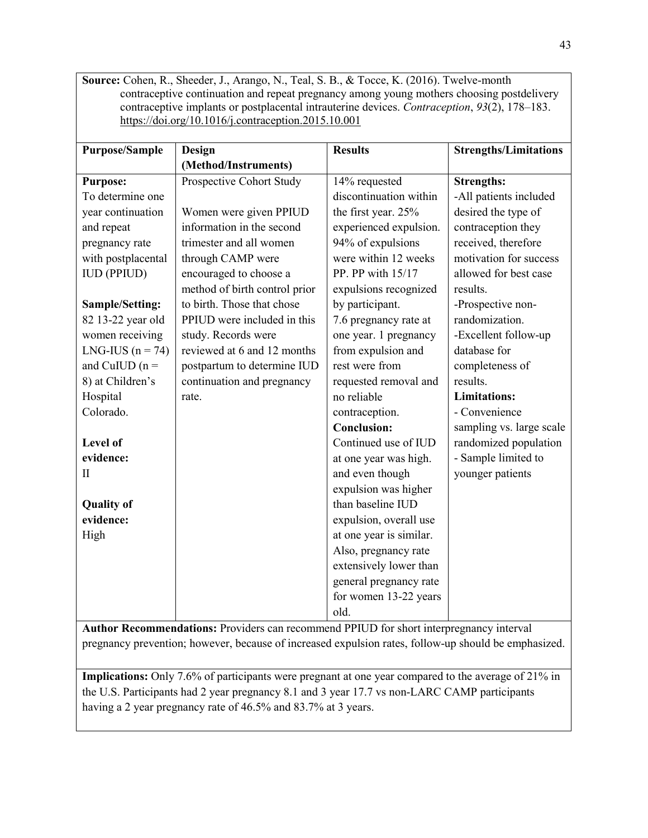**Source:** Cohen, R., Sheeder, J., Arango, N., Teal, S. B., & Tocce, K. (2016). Twelve-month contraceptive continuation and repeat pregnancy among young mothers choosing postdelivery contraceptive implants or postplacental intrauterine devices. *Contraception*, *93*(2), 178–183. <https://doi.org/10.1016/j.contraception.2015.10.001>

| <b>Purpose/Sample</b> | Design                        | <b>Results</b>          | <b>Strengths/Limitations</b> |
|-----------------------|-------------------------------|-------------------------|------------------------------|
|                       | (Method/Instruments)          |                         |                              |
| <b>Purpose:</b>       | Prospective Cohort Study      | 14% requested           | <b>Strengths:</b>            |
| To determine one      |                               | discontinuation within  | -All patients included       |
| year continuation     | Women were given PPIUD        | the first year. 25%     | desired the type of          |
| and repeat            | information in the second     | experienced expulsion.  | contraception they           |
| pregnancy rate        | trimester and all women       | 94% of expulsions       | received, therefore          |
| with postplacental    | through CAMP were             | were within 12 weeks    | motivation for success       |
| <b>IUD (PPIUD)</b>    | encouraged to choose a        | PP. PP with 15/17       | allowed for best case        |
|                       | method of birth control prior | expulsions recognized   | results.                     |
| Sample/Setting:       | to birth. Those that chose    | by participant.         | -Prospective non-            |
| 82 13-22 year old     | PPIUD were included in this   | 7.6 pregnancy rate at   | randomization.               |
| women receiving       | study. Records were           | one year. 1 pregnancy   | -Excellent follow-up         |
| LNG-IUS $(n = 74)$    | reviewed at 6 and 12 months   | from expulsion and      | database for                 |
| and CuIUD $(n =$      | postpartum to determine IUD   | rest were from          | completeness of              |
| 8) at Children's      | continuation and pregnancy    | requested removal and   | results.                     |
| Hospital              | rate.                         | no reliable             | <b>Limitations:</b>          |
| Colorado.             |                               | contraception.          | - Convenience                |
|                       |                               | <b>Conclusion:</b>      | sampling vs. large scale     |
| <b>Level of</b>       |                               | Continued use of IUD    | randomized population        |
| evidence:             |                               | at one year was high.   | - Sample limited to          |
| П                     |                               | and even though         | younger patients             |
|                       |                               | expulsion was higher    |                              |
| <b>Quality of</b>     |                               | than baseline IUD       |                              |
| evidence:             |                               | expulsion, overall use  |                              |
| High                  |                               | at one year is similar. |                              |
|                       |                               | Also, pregnancy rate    |                              |
|                       |                               | extensively lower than  |                              |
|                       |                               | general pregnancy rate  |                              |
|                       |                               | for women 13-22 years   |                              |
|                       |                               | old.                    |                              |

**Author Recommendations:** Providers can recommend PPIUD for short interpregnancy interval pregnancy prevention; however, because of increased expulsion rates, follow-up should be emphasized.

**Implications:** Only 7.6% of participants were pregnant at one year compared to the average of 21% in the U.S. Participants had 2 year pregnancy 8.1 and 3 year 17.7 vs non-LARC CAMP participants having a 2 year pregnancy rate of 46.5% and 83.7% at 3 years.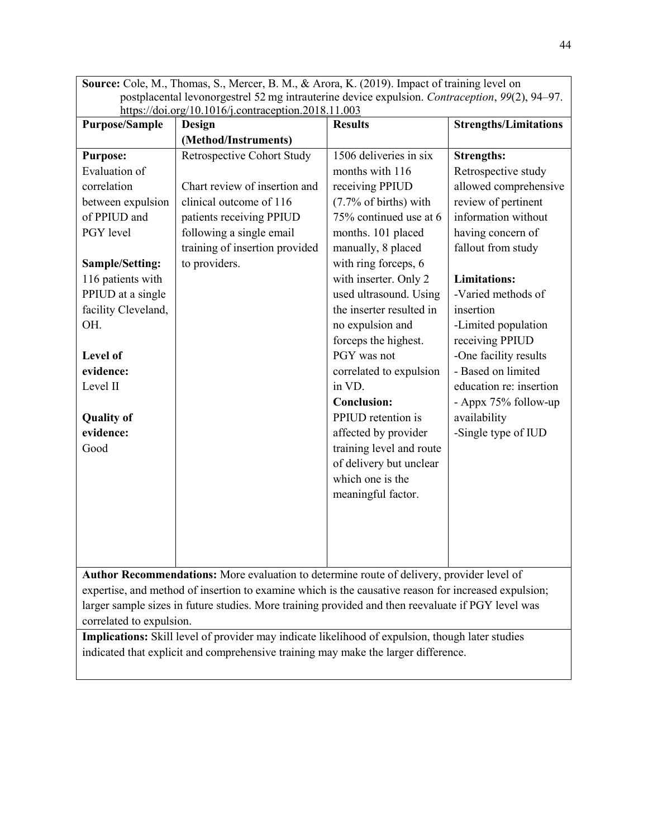|                                                                                                | <b>Source:</b> Cole, M., Thomas, S., Mercer, B. M., & Arora, K. (2019). Impact of training level on |                          |                              |
|------------------------------------------------------------------------------------------------|-----------------------------------------------------------------------------------------------------|--------------------------|------------------------------|
| postplacental levonorgestrel 52 mg intrauterine device expulsion. Contraception, 99(2), 94–97. |                                                                                                     |                          |                              |
|                                                                                                | https://doi.org/10.1016/j.contraception.2018.11.003                                                 |                          |                              |
| <b>Purpose/Sample</b>                                                                          | Design                                                                                              | <b>Results</b>           | <b>Strengths/Limitations</b> |
|                                                                                                | (Method/Instruments)                                                                                |                          |                              |
| <b>Purpose:</b>                                                                                | Retrospective Cohort Study                                                                          | 1506 deliveries in six   | <b>Strengths:</b>            |
| Evaluation of                                                                                  |                                                                                                     | months with 116          | Retrospective study          |
| correlation                                                                                    | Chart review of insertion and                                                                       | receiving PPIUD          | allowed comprehensive        |
| between expulsion                                                                              | clinical outcome of 116                                                                             | (7.7% of births) with    | review of pertinent          |
| of PPIUD and                                                                                   | patients receiving PPIUD                                                                            | 75% continued use at 6   | information without          |
| PGY level                                                                                      | following a single email                                                                            | months. 101 placed       | having concern of            |
|                                                                                                | training of insertion provided                                                                      | manually, 8 placed       | fallout from study           |
| Sample/Setting:                                                                                | to providers.                                                                                       | with ring forceps, 6     |                              |
| 116 patients with                                                                              |                                                                                                     | with inserter. Only 2    | <b>Limitations:</b>          |
| PPIUD at a single                                                                              |                                                                                                     | used ultrasound. Using   | -Varied methods of           |
| facility Cleveland,                                                                            |                                                                                                     | the inserter resulted in | insertion                    |
| OH.                                                                                            |                                                                                                     | no expulsion and         | -Limited population          |
|                                                                                                |                                                                                                     | forceps the highest.     | receiving PPIUD              |
| Level of                                                                                       |                                                                                                     | PGY was not              | -One facility results        |
| evidence:                                                                                      |                                                                                                     | correlated to expulsion  | - Based on limited           |
| Level II                                                                                       |                                                                                                     | in VD.                   | education re: insertion      |
|                                                                                                |                                                                                                     | <b>Conclusion:</b>       | - Appx 75% follow-up         |
| <b>Quality of</b>                                                                              |                                                                                                     | PPIUD retention is       | availability                 |
| evidence:                                                                                      |                                                                                                     | affected by provider     | -Single type of IUD          |
| Good                                                                                           |                                                                                                     | training level and route |                              |
|                                                                                                |                                                                                                     | of delivery but unclear  |                              |
|                                                                                                |                                                                                                     | which one is the         |                              |
|                                                                                                |                                                                                                     | meaningful factor.       |                              |
|                                                                                                |                                                                                                     |                          |                              |
|                                                                                                |                                                                                                     |                          |                              |
|                                                                                                |                                                                                                     |                          |                              |
|                                                                                                |                                                                                                     |                          |                              |
|                                                                                                |                                                                                                     |                          |                              |

**Author Recommendations:** More evaluation to determine route of delivery, provider level of expertise, and method of insertion to examine which is the causative reason for increased expulsion; larger sample sizes in future studies. More training provided and then reevaluate if PGY level was correlated to expulsion.

**Implications:** Skill level of provider may indicate likelihood of expulsion, though later studies indicated that explicit and comprehensive training may make the larger difference.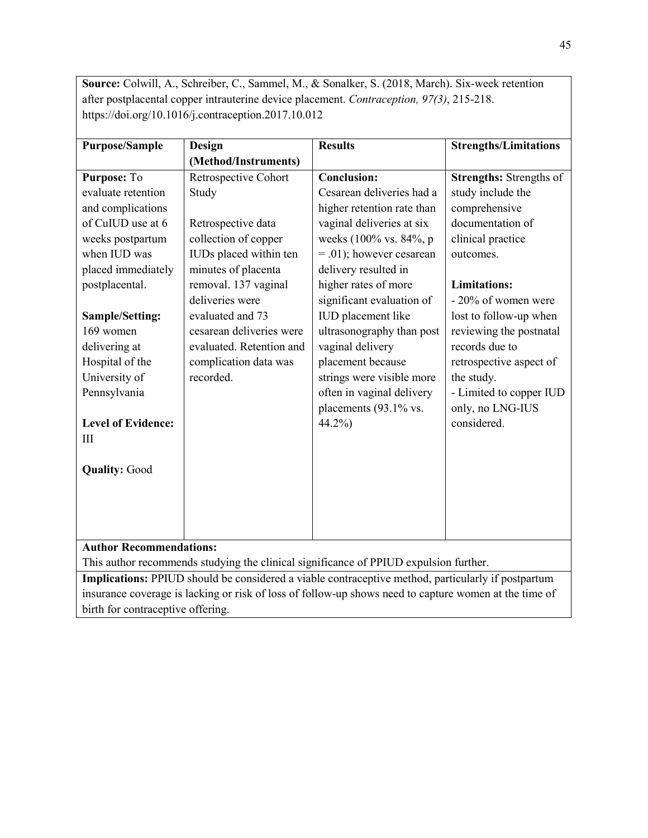**Source:** Colwill, A., Schreiber, C., Sammel, M., & Sonalker, S. (2018, March). Six-week retention after postplacental copper intrauterine device placement. *Contraception, 97(3)*, 215-218. https://doi.org/10.1016/j.contraception.2017.10.012

| <b>Purpose/Sample</b>                | Design                   | <b>Results</b>             | <b>Strengths/Limitations</b>   |
|--------------------------------------|--------------------------|----------------------------|--------------------------------|
|                                      | (Method/Instruments)     |                            |                                |
| Purpose: To                          | Retrospective Cohort     | <b>Conclusion:</b>         | <b>Strengths:</b> Strengths of |
| evaluate retention                   | Study                    | Cesarean deliveries had a  | study include the              |
| and complications                    |                          | higher retention rate than | comprehensive                  |
| of CuIUD use at 6                    | Retrospective data       | vaginal deliveries at six  | documentation of               |
| weeks postpartum                     | collection of copper     | weeks (100% vs. 84%, p     | clinical practice              |
| when IUD was                         | IUDs placed within ten   | $= .01$ ; however cesarean | outcomes.                      |
| placed immediately                   | minutes of placenta      | delivery resulted in       |                                |
| postplacental.                       | removal. 137 vaginal     | higher rates of more       | <b>Limitations:</b>            |
|                                      | deliveries were          | significant evaluation of  | - 20% of women were            |
| Sample/Setting:                      | evaluated and 73         | IUD placement like         | lost to follow-up when         |
| 169 women                            | cesarean deliveries were | ultrasonography than post  | reviewing the postnatal        |
| delivering at                        | evaluated. Retention and | vaginal delivery           | records due to                 |
| Hospital of the                      | complication data was    | placement because          | retrospective aspect of        |
| University of                        | recorded.                | strings were visible more  | the study.                     |
| Pennsylvania                         |                          | often in vaginal delivery  | - Limited to copper IUD        |
|                                      |                          | placements (93.1% vs.      | only, no LNG-IUS               |
| <b>Level of Evidence:</b>            |                          | $44.2\%$                   | considered.                    |
| Ш                                    |                          |                            |                                |
|                                      |                          |                            |                                |
| <b>Quality: Good</b>                 |                          |                            |                                |
|                                      |                          |                            |                                |
|                                      |                          |                            |                                |
|                                      |                          |                            |                                |
|                                      |                          |                            |                                |
| $\lambda = 11, \ldots, \mathbf{D}$ . | $-1 - 42$ .              |                            |                                |

**Author Recommendations:**

This author recommends studying the clinical significance of PPIUD expulsion further.

**Implications:** PPIUD should be considered a viable contraceptive method, particularly if postpartum insurance coverage is lacking or risk of loss of follow-up shows need to capture women at the time of birth for contraceptive offering.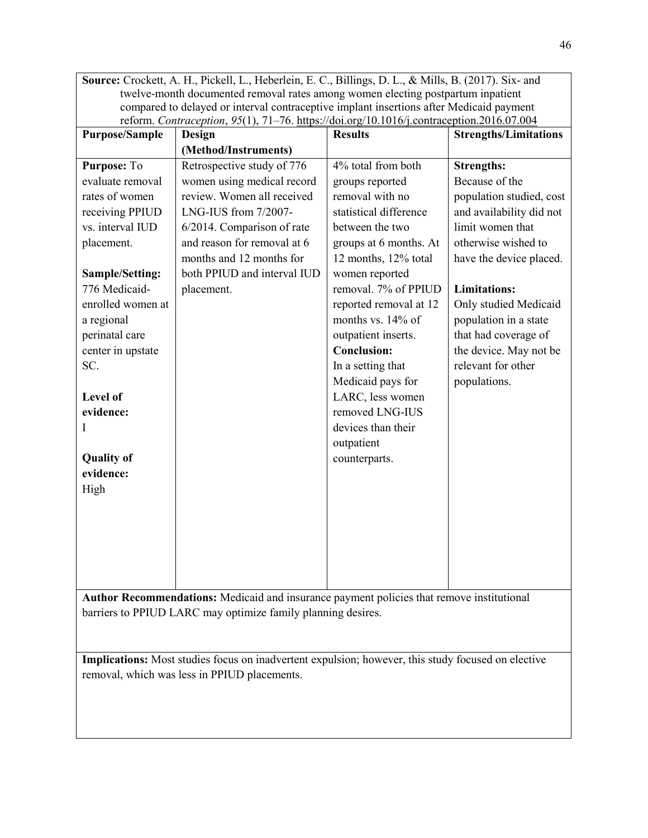**Source:** Crockett, A. H., Pickell, L., Heberlein, E. C., Billings, D. L., & Mills, B. (2017). Six- and twelve-month documented removal rates among women electing postpartum inpatient compared to delayed or interval contraceptive implant insertions after Medicaid payment reform. *Contraception*, *95*(1), 71–76.<https://doi.org/10.1016/j.contraception.2016.07.004>

| <b>Purpose/Sample</b> | <b>Design</b>                                                                             | <b>Results</b>         | <b>Strengths/Limitations</b> |
|-----------------------|-------------------------------------------------------------------------------------------|------------------------|------------------------------|
|                       | (Method/Instruments)                                                                      |                        |                              |
| Purpose: To           | Retrospective study of 776                                                                | 4% total from both     | <b>Strengths:</b>            |
| evaluate removal      | women using medical record                                                                | groups reported        | Because of the               |
| rates of women        | review. Women all received                                                                | removal with no        | population studied, cost     |
| receiving PPIUD       | LNG-IUS from 7/2007-                                                                      | statistical difference | and availability did not     |
| vs. interval IUD      | 6/2014. Comparison of rate                                                                | between the two        | limit women that             |
| placement.            | and reason for removal at 6                                                               | groups at 6 months. At | otherwise wished to          |
|                       | months and 12 months for                                                                  | 12 months, 12% total   | have the device placed.      |
| Sample/Setting:       | both PPIUD and interval IUD                                                               | women reported         |                              |
| 776 Medicaid-         | placement.                                                                                | removal. 7% of PPIUD   | <b>Limitations:</b>          |
| enrolled women at     |                                                                                           | reported removal at 12 | Only studied Medicaid        |
| a regional            |                                                                                           | months vs. 14% of      | population in a state        |
| perinatal care        |                                                                                           | outpatient inserts.    | that had coverage of         |
| center in upstate     |                                                                                           | <b>Conclusion:</b>     | the device. May not be       |
| SC.                   |                                                                                           | In a setting that      | relevant for other           |
|                       |                                                                                           | Medicaid pays for      | populations.                 |
| Level of              |                                                                                           | LARC, less women       |                              |
| evidence:             |                                                                                           | removed LNG-IUS        |                              |
| I                     |                                                                                           | devices than their     |                              |
|                       |                                                                                           | outpatient             |                              |
| <b>Quality of</b>     |                                                                                           | counterparts.          |                              |
| evidence:             |                                                                                           |                        |                              |
| High                  |                                                                                           |                        |                              |
|                       |                                                                                           |                        |                              |
|                       |                                                                                           |                        |                              |
|                       |                                                                                           |                        |                              |
|                       |                                                                                           |                        |                              |
|                       |                                                                                           |                        |                              |
|                       |                                                                                           |                        |                              |
|                       | Author Recommendations: Medicaid and insurance payment policies that remove institutional |                        |                              |

barriers to PPIUD LARC may optimize family planning desires.

**Implications:** Most studies focus on inadvertent expulsion; however, this study focused on elective removal, which was less in PPIUD placements.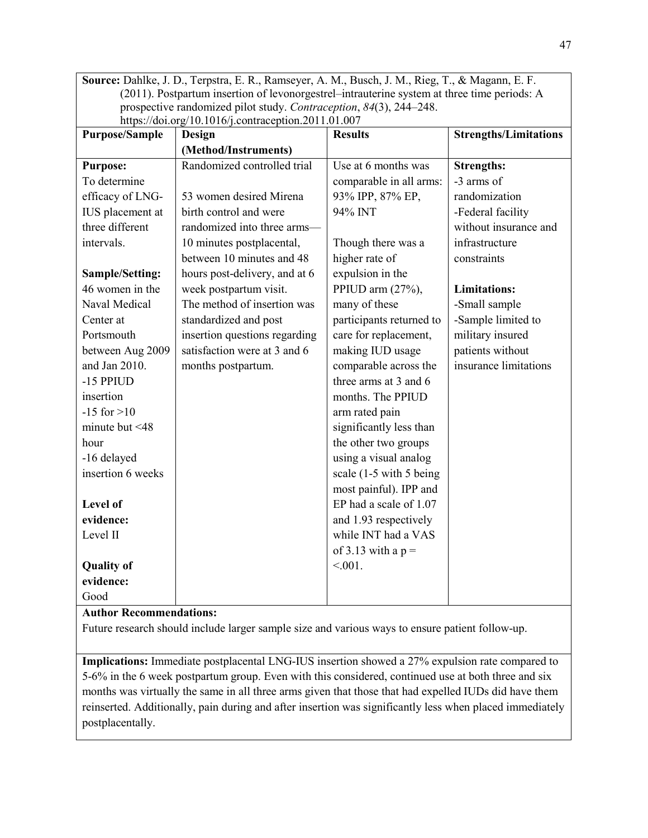**Source:** Dahlke, J. D., Terpstra, E. R., Ramseyer, A. M., Busch, J. M., Rieg, T., & Magann, E. F. (2011). Postpartum insertion of levonorgestrel–intrauterine system at three time periods: A prospective randomized pilot study. *Contraception*, *84*(3), 244–248. https://doi.org/10.1016/ $\frac{1}{2}$ contraception.2011.01.007

| <b>Purpose/Sample</b> | Design                        | <b>Results</b>           | <b>Strengths/Limitations</b> |
|-----------------------|-------------------------------|--------------------------|------------------------------|
|                       | (Method/Instruments)          |                          |                              |
| <b>Purpose:</b>       | Randomized controlled trial   | Use at 6 months was      | <b>Strengths:</b>            |
| To determine          |                               | comparable in all arms:  | -3 arms of                   |
| efficacy of LNG-      | 53 women desired Mirena       | 93% IPP, 87% EP,         | randomization                |
| IUS placement at      | birth control and were        | 94% INT                  | -Federal facility            |
| three different       | randomized into three arms-   |                          | without insurance and        |
| intervals.            | 10 minutes postplacental,     | Though there was a       | infrastructure               |
|                       | between 10 minutes and 48     | higher rate of           | constraints                  |
| Sample/Setting:       | hours post-delivery, and at 6 | expulsion in the         |                              |
| 46 women in the       | week postpartum visit.        | PPIUD arm (27%),         | <b>Limitations:</b>          |
| Naval Medical         | The method of insertion was   | many of these            | -Small sample                |
| Center at             | standardized and post         | participants returned to | -Sample limited to           |
| Portsmouth            | insertion questions regarding | care for replacement,    | military insured             |
| between Aug 2009      | satisfaction were at 3 and 6  | making IUD usage         | patients without             |
| and Jan 2010.         | months postpartum.            | comparable across the    | insurance limitations        |
| -15 PPIUD             |                               | three arms at 3 and 6    |                              |
| insertion             |                               | months. The PPIUD        |                              |
| $-15$ for $>10$       |                               | arm rated pain           |                              |
| minute but $\leq 48$  |                               | significantly less than  |                              |
| hour                  |                               | the other two groups     |                              |
| -16 delayed           |                               | using a visual analog    |                              |
| insertion 6 weeks     |                               | scale (1-5 with 5 being) |                              |
|                       |                               | most painful). IPP and   |                              |
| Level of              |                               | EP had a scale of 1.07   |                              |
| evidence:             |                               | and 1.93 respectively    |                              |
| Level II              |                               | while INT had a VAS      |                              |
|                       |                               | of 3.13 with a $p =$     |                              |
| <b>Quality of</b>     |                               | $< 0.01$ .               |                              |
| evidence:             |                               |                          |                              |
| Good                  |                               |                          |                              |

## **Author Recommendations:**

Future research should include larger sample size and various ways to ensure patient follow-up.

**Implications:** Immediate postplacental LNG-IUS insertion showed a 27% expulsion rate compared to 5-6% in the 6 week postpartum group. Even with this considered, continued use at both three and six months was virtually the same in all three arms given that those that had expelled IUDs did have them reinserted. Additionally, pain during and after insertion was significantly less when placed immediately postplacentally.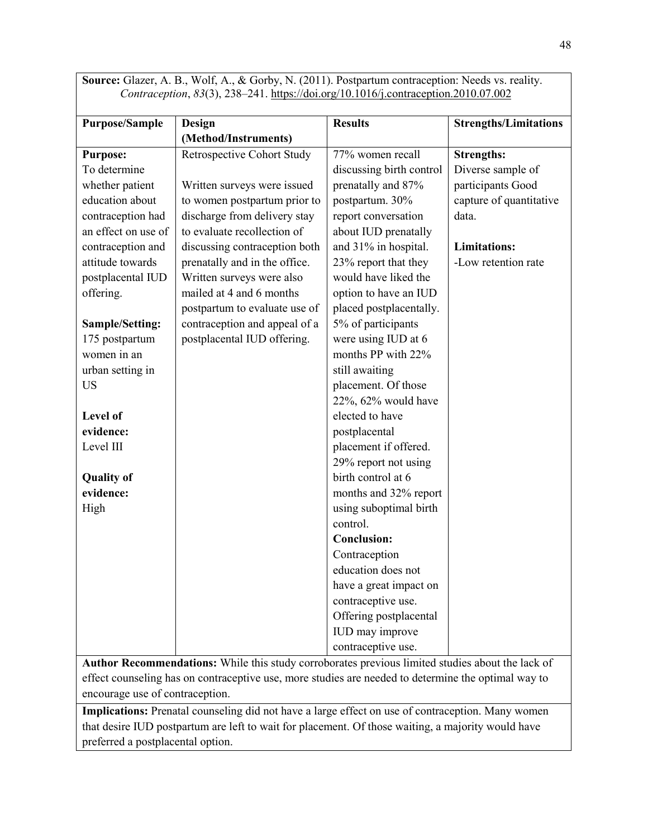|                       | <b>SOUFCE:</b> Grazer, A. D., WOH, A., $\alpha$ GOFDy, N. (2011). POstpartum contraception: Needs vs. reality.<br>Contraception, 83(3), 238-241. https://doi.org/10.1016/j.contraception.2010.07.002 |                          |                              |
|-----------------------|------------------------------------------------------------------------------------------------------------------------------------------------------------------------------------------------------|--------------------------|------------------------------|
| <b>Purpose/Sample</b> | Design                                                                                                                                                                                               | <b>Results</b>           | <b>Strengths/Limitations</b> |
|                       | (Method/Instruments)                                                                                                                                                                                 |                          |                              |
| <b>Purpose:</b>       | Retrospective Cohort Study                                                                                                                                                                           | 77% women recall         | <b>Strengths:</b>            |
| To determine          |                                                                                                                                                                                                      | discussing birth control | Diverse sample of            |
| whether patient       | Written surveys were issued                                                                                                                                                                          | prenatally and 87%       | participants Good            |
| education about       | to women postpartum prior to                                                                                                                                                                         | postpartum. 30%          | capture of quantitative      |
| contraception had     | discharge from delivery stay                                                                                                                                                                         | report conversation      | data.                        |
| an effect on use of   | to evaluate recollection of                                                                                                                                                                          | about IUD prenatally     |                              |
| contraception and     | discussing contraception both                                                                                                                                                                        | and 31% in hospital.     | <b>Limitations:</b>          |
| attitude towards      | prenatally and in the office.                                                                                                                                                                        | 23% report that they     | -Low retention rate          |
| postplacental IUD     | Written surveys were also                                                                                                                                                                            | would have liked the     |                              |
| offering.             | mailed at 4 and 6 months                                                                                                                                                                             | option to have an IUD    |                              |
|                       | postpartum to evaluate use of                                                                                                                                                                        | placed postplacentally.  |                              |
| Sample/Setting:       | contraception and appeal of a                                                                                                                                                                        | 5% of participants       |                              |
| 175 postpartum        | postplacental IUD offering.                                                                                                                                                                          | were using IUD at 6      |                              |
| women in an           |                                                                                                                                                                                                      | months PP with 22%       |                              |
| urban setting in      |                                                                                                                                                                                                      | still awaiting           |                              |

Source: Glazer, A. B., Wolf, A., & Gorby, N. (2011). Postpartum contraception: Needs vs. reality.

| US                | placement. Of those    |
|-------------------|------------------------|
|                   | 22%, 62% would have    |
| Level of          | elected to have        |
| evidence:         | postplacental          |
| Level III         | placement if offered.  |
|                   | 29% report not using   |
| <b>Quality of</b> | birth control at 6     |
| evidence:         | months and 32% report  |
| High              | using suboptimal birth |
|                   | control.               |
|                   |                        |
|                   | <b>Conclusion:</b>     |
|                   | Contraception          |
|                   | education does not     |
|                   | have a great impact on |
|                   | contraceptive use.     |
|                   | Offering postplacental |
|                   | IUD may improve        |

**Author Recommendations:** While this study corroborates previous limited studies about the lack of effect counseling has on contraceptive use, more studies are needed to determine the optimal way to encourage use of contraception.

**Implications:** Prenatal counseling did not have a large effect on use of contraception. Many women that desire IUD postpartum are left to wait for placement. Of those waiting, a majority would have preferred a postplacental option.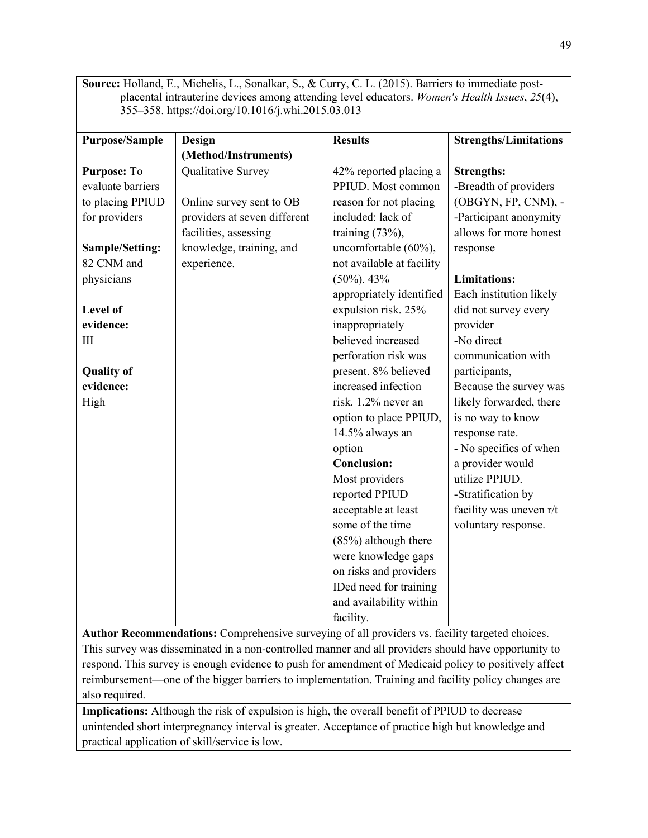**Source:** Holland, E., Michelis, L., Sonalkar, S., & Curry, C. L. (2015). Barriers to immediate postplacental intrauterine devices among attending level educators. *Women's Health Issues*, *25*(4), 355–358[. https://doi.org/10.1016/j.whi.2015.03.013](https://doi.org/10.1016/j.whi.2015.03.013)

| <b>Purpose/Sample</b> | <b>Design</b>                | <b>Results</b>            | <b>Strengths/Limitations</b> |
|-----------------------|------------------------------|---------------------------|------------------------------|
|                       | (Method/Instruments)         |                           |                              |
| Purpose: To           | Qualitative Survey           | 42% reported placing a    | <b>Strengths:</b>            |
| evaluate barriers     |                              | PPIUD. Most common        | -Breadth of providers        |
| to placing PPIUD      | Online survey sent to OB     | reason for not placing    | (OBGYN, FP, CNM), -          |
| for providers         | providers at seven different | included: lack of         | -Participant anonymity       |
|                       | facilities, assessing        | training $(73\%)$ ,       | allows for more honest       |
| Sample/Setting:       | knowledge, training, and     | uncomfortable (60%),      | response                     |
| 82 CNM and            | experience.                  | not available at facility |                              |
| physicians            |                              | $(50\%)$ . 43%            | <b>Limitations:</b>          |
|                       |                              | appropriately identified  | Each institution likely      |
| Level of              |                              | expulsion risk. 25%       | did not survey every         |
| evidence:             |                              | inappropriately           | provider                     |
| III                   |                              | believed increased        | -No direct                   |
|                       |                              | perforation risk was      | communication with           |
| <b>Quality of</b>     |                              | present. 8% believed      | participants,                |
| evidence:             |                              | increased infection       | Because the survey was       |
| High                  |                              | risk. 1.2% never an       | likely forwarded, there      |
|                       |                              | option to place PPIUD,    | is no way to know            |
|                       |                              | 14.5% always an           | response rate.               |
|                       |                              | option                    | - No specifics of when       |
|                       |                              | <b>Conclusion:</b>        | a provider would             |
|                       |                              | Most providers            | utilize PPIUD.               |
|                       |                              | reported PPIUD            | -Stratification by           |
|                       |                              | acceptable at least       | facility was uneven r/t      |
|                       |                              | some of the time          | voluntary response.          |
|                       |                              | $(85%)$ although there    |                              |
|                       |                              | were knowledge gaps       |                              |
|                       |                              | on risks and providers    |                              |
|                       |                              | IDed need for training    |                              |
|                       |                              | and availability within   |                              |
|                       |                              | facility.                 |                              |

**Author Recommendations:** Comprehensive surveying of all providers vs. facility targeted choices. This survey was disseminated in a non-controlled manner and all providers should have opportunity to respond. This survey is enough evidence to push for amendment of Medicaid policy to positively affect reimbursement—one of the bigger barriers to implementation. Training and facility policy changes are also required.

**Implications:** Although the risk of expulsion is high, the overall benefit of PPIUD to decrease unintended short interpregnancy interval is greater. Acceptance of practice high but knowledge and practical application of skill/service is low.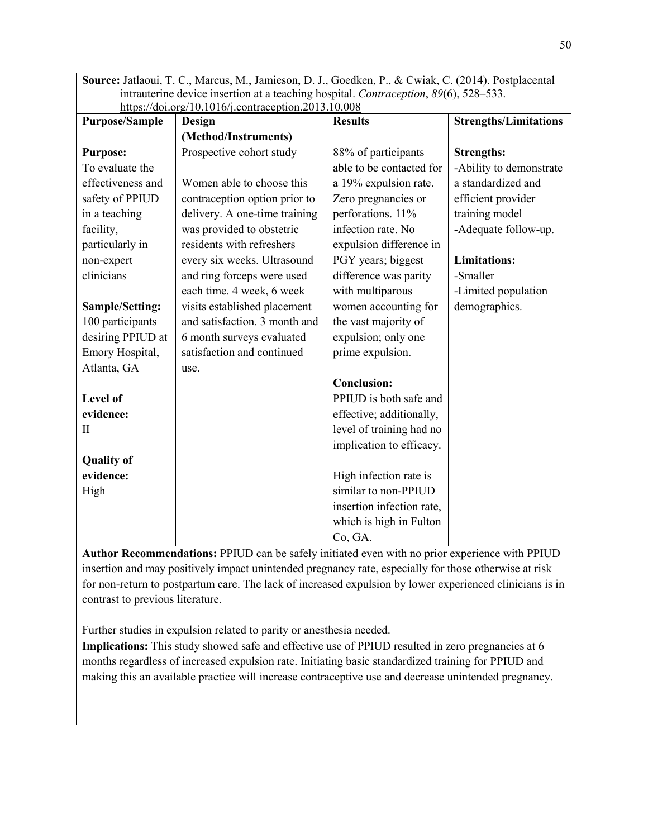**Source:** Jatlaoui, T. C., Marcus, M., Jamieson, D. J., Goedken, P., & Cwiak, C. (2014). Postplacental intrauterine device insertion at a teaching hospital. *Contraception*, *89*(6), 528–533. <https://doi.org/10.1016/j.contraception.2013.10.008>

| <b>Purpose/Sample</b> | $\frac{1}{2}$ = 0.00 $\frac{1}{2}$ = 0.10 10 $\frac{1}{2}$ = 0.10 and 20 0.000 $\frac{1}{2}$ = 0.000<br>Design | <b>Results</b>            | <b>Strengths/Limitations</b> |
|-----------------------|----------------------------------------------------------------------------------------------------------------|---------------------------|------------------------------|
|                       | (Method/Instruments)                                                                                           |                           |                              |
| <b>Purpose:</b>       | Prospective cohort study                                                                                       | 88% of participants       | <b>Strengths:</b>            |
| To evaluate the       |                                                                                                                | able to be contacted for  | -Ability to demonstrate      |
| effectiveness and     | Women able to choose this                                                                                      | a 19% expulsion rate.     | a standardized and           |
| safety of PPIUD       | contraception option prior to                                                                                  | Zero pregnancies or       | efficient provider           |
| in a teaching         | delivery. A one-time training                                                                                  | perforations. 11%         | training model               |
| facility,             | was provided to obstetric                                                                                      | infection rate. No        | -Adequate follow-up.         |
| particularly in       | residents with refreshers                                                                                      | expulsion difference in   |                              |
| non-expert            | every six weeks. Ultrasound                                                                                    | PGY years; biggest        | <b>Limitations:</b>          |
| clinicians            | and ring forceps were used                                                                                     | difference was parity     | -Smaller                     |
|                       | each time. 4 week, 6 week                                                                                      | with multiparous          | -Limited population          |
| Sample/Setting:       | visits established placement                                                                                   | women accounting for      | demographics.                |
| 100 participants      | and satisfaction. 3 month and                                                                                  | the vast majority of      |                              |
| desiring PPIUD at     | 6 month surveys evaluated                                                                                      | expulsion; only one       |                              |
| Emory Hospital,       | satisfaction and continued                                                                                     | prime expulsion.          |                              |
| Atlanta, GA           | use.                                                                                                           |                           |                              |
|                       |                                                                                                                | <b>Conclusion:</b>        |                              |
| Level of              |                                                                                                                | PPIUD is both safe and    |                              |
| evidence:             |                                                                                                                | effective; additionally,  |                              |
| П                     |                                                                                                                | level of training had no  |                              |
|                       |                                                                                                                | implication to efficacy.  |                              |
| <b>Quality of</b>     |                                                                                                                |                           |                              |
| evidence:             |                                                                                                                | High infection rate is    |                              |
| High                  |                                                                                                                | similar to non-PPIUD      |                              |
|                       |                                                                                                                | insertion infection rate, |                              |
|                       |                                                                                                                | which is high in Fulton   |                              |
|                       |                                                                                                                | Co, GA.                   |                              |

**Author Recommendations:** PPIUD can be safely initiated even with no prior experience with PPIUD insertion and may positively impact unintended pregnancy rate, especially for those otherwise at risk for non-return to postpartum care. The lack of increased expulsion by lower experienced clinicians is in contrast to previous literature.

Further studies in expulsion related to parity or anesthesia needed.

Implications: This study showed safe and effective use of PPIUD resulted in zero pregnancies at 6 months regardless of increased expulsion rate. Initiating basic standardized training for PPIUD and making this an available practice will increase contraceptive use and decrease unintended pregnancy.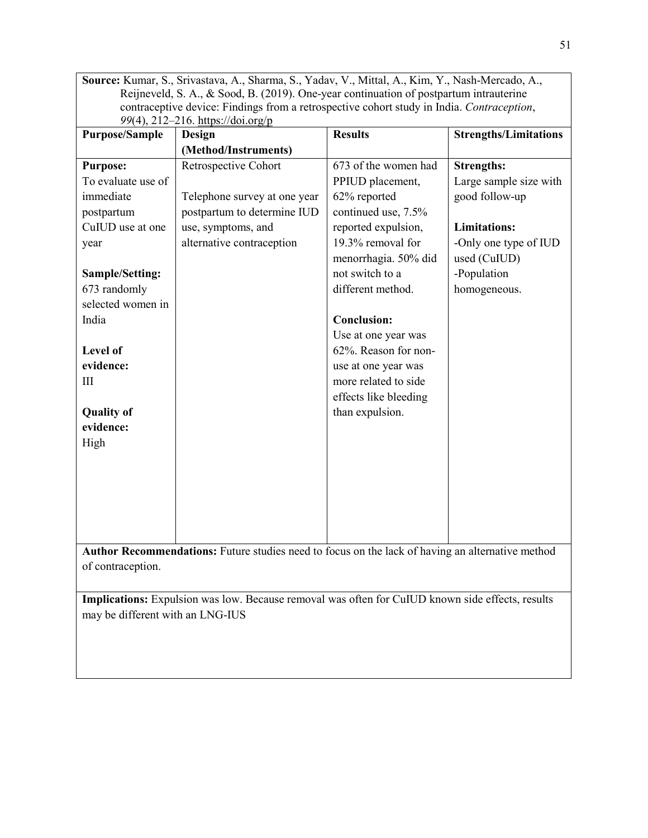**Source:** Kumar, S., Srivastava, A., Sharma, S., Yadav, V., Mittal, A., Kim, Y., Nash-Mercado, A., Reijneveld, S. A., & Sood, B. (2019). One-year continuation of postpartum intrauterine contraceptive device: Findings from a retrospective cohort study in India. *Contraception*, *99*(4), 212–216. [https://doi.org/p](https://doi.org/10.1016/j.contraception.2018.12.003)

| <b>Purpose/Sample</b>                                                                            | Design                       | <b>Results</b>        | <b>Strengths/Limitations</b> |
|--------------------------------------------------------------------------------------------------|------------------------------|-----------------------|------------------------------|
|                                                                                                  | (Method/Instruments)         |                       |                              |
| <b>Purpose:</b>                                                                                  | Retrospective Cohort         | 673 of the women had  | <b>Strengths:</b>            |
| To evaluate use of                                                                               |                              | PPIUD placement,      | Large sample size with       |
| immediate                                                                                        | Telephone survey at one year | 62% reported          | good follow-up               |
| postpartum                                                                                       | postpartum to determine IUD  | continued use, 7.5%   |                              |
| CuIUD use at one                                                                                 | use, symptoms, and           | reported expulsion,   | <b>Limitations:</b>          |
| year                                                                                             | alternative contraception    | 19.3% removal for     | -Only one type of IUD        |
|                                                                                                  |                              | menorrhagia. 50% did  | used (CuIUD)                 |
| Sample/Setting:                                                                                  |                              | not switch to a       | -Population                  |
| 673 randomly                                                                                     |                              | different method.     | homogeneous.                 |
| selected women in                                                                                |                              |                       |                              |
| India                                                                                            |                              | <b>Conclusion:</b>    |                              |
|                                                                                                  |                              | Use at one year was   |                              |
| Level of                                                                                         |                              | 62%. Reason for non-  |                              |
| evidence:                                                                                        |                              | use at one year was   |                              |
| III                                                                                              |                              | more related to side  |                              |
|                                                                                                  |                              | effects like bleeding |                              |
| <b>Quality of</b>                                                                                |                              | than expulsion.       |                              |
| evidence:                                                                                        |                              |                       |                              |
| High                                                                                             |                              |                       |                              |
|                                                                                                  |                              |                       |                              |
|                                                                                                  |                              |                       |                              |
|                                                                                                  |                              |                       |                              |
|                                                                                                  |                              |                       |                              |
|                                                                                                  |                              |                       |                              |
|                                                                                                  |                              |                       |                              |
| Author Recommendations: Future studies need to focus on the lack of having an alternative method |                              |                       |                              |
| of contraception.                                                                                |                              |                       |                              |
|                                                                                                  |                              |                       |                              |

**Implications:** Expulsion was low. Because removal was often for CuIUD known side effects, results may be different with an LNG-IUS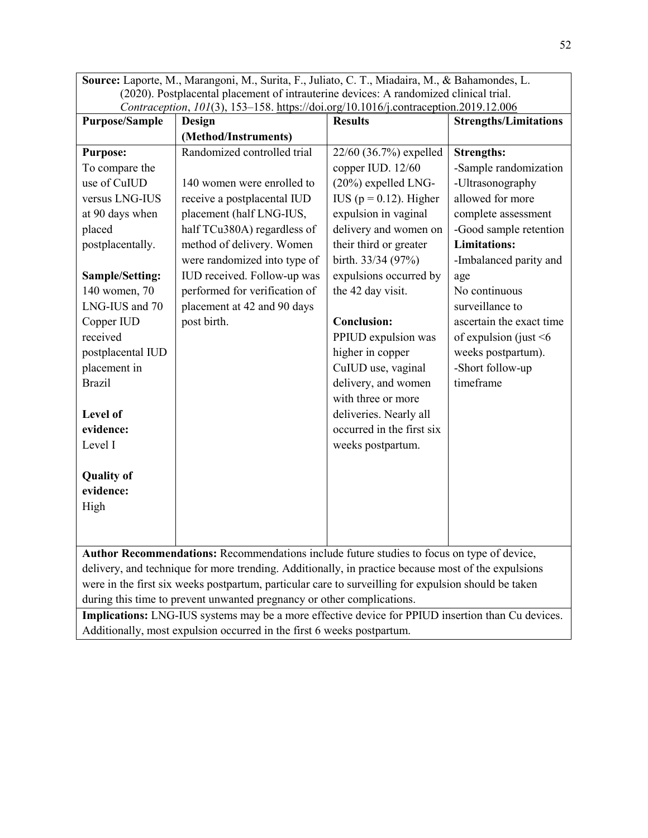**Source:** Laporte, M., Marangoni, M., Surita, F., Juliato, C. T., Miadaira, M., & Bahamondes, L. (2020). Postplacental placement of intrauterine devices: A randomized clinical trial. *Contraception*, *101*(3), 153–158.<https://doi.org/10.1016/j.contraception.2019.12.006>

| <b>Purpose/Sample</b>                                                                                                                                                      | Commuception, $101(3)$ , $133$ 136. <u>Integeneous genotion contraception. 2013.12.000</u><br>Design                                                                                                                                                                                                            | <b>Results</b>                                                                                                                                                                                                                                      | <b>Strengths/Limitations</b>                                                                                                                                                                                                    |
|----------------------------------------------------------------------------------------------------------------------------------------------------------------------------|-----------------------------------------------------------------------------------------------------------------------------------------------------------------------------------------------------------------------------------------------------------------------------------------------------------------|-----------------------------------------------------------------------------------------------------------------------------------------------------------------------------------------------------------------------------------------------------|---------------------------------------------------------------------------------------------------------------------------------------------------------------------------------------------------------------------------------|
|                                                                                                                                                                            | (Method/Instruments)                                                                                                                                                                                                                                                                                            |                                                                                                                                                                                                                                                     |                                                                                                                                                                                                                                 |
| <b>Purpose:</b><br>To compare the<br>use of CuIUD<br>versus LNG-IUS<br>at 90 days when<br>placed<br>postplacentally.<br>Sample/Setting:<br>140 women, 70<br>LNG-IUS and 70 | Randomized controlled trial<br>140 women were enrolled to<br>receive a postplacental IUD<br>placement (half LNG-IUS,<br>half TCu380A) regardless of<br>method of delivery. Women<br>were randomized into type of<br>IUD received. Follow-up was<br>performed for verification of<br>placement at 42 and 90 days | 22/60 (36.7%) expelled<br>copper IUD. 12/60<br>$(20\%)$ expelled LNG-<br>IUS ( $p = 0.12$ ). Higher<br>expulsion in vaginal<br>delivery and women on<br>their third or greater<br>birth. 33/34 (97%)<br>expulsions occurred by<br>the 42 day visit. | <b>Strengths:</b><br>-Sample randomization<br>-Ultrasonography<br>allowed for more<br>complete assessment<br>-Good sample retention<br><b>Limitations:</b><br>-Imbalanced parity and<br>age<br>No continuous<br>surveillance to |
| Copper IUD<br>received<br>postplacental IUD<br>placement in<br><b>Brazil</b><br>Level of<br>evidence:<br>Level I                                                           | post birth.                                                                                                                                                                                                                                                                                                     | <b>Conclusion:</b><br>PPIUD expulsion was<br>higher in copper<br>CuIUD use, vaginal<br>delivery, and women<br>with three or more<br>deliveries. Nearly all<br>occurred in the first six<br>weeks postpartum.                                        | ascertain the exact time<br>of expulsion (just $\leq 6$<br>weeks postpartum).<br>-Short follow-up<br>timeframe                                                                                                                  |
| <b>Quality of</b><br>evidence:<br>High                                                                                                                                     | Author Recommendations: Recommendations include future studies to focus on type of device,                                                                                                                                                                                                                      |                                                                                                                                                                                                                                                     |                                                                                                                                                                                                                                 |
|                                                                                                                                                                            | delivery, and technique for more trending. Additionally, in practice because most of the expulsions                                                                                                                                                                                                             |                                                                                                                                                                                                                                                     |                                                                                                                                                                                                                                 |

delivery, and technique for more trending. Additionally, in practice because most of the expulsions were in the first six weeks postpartum, particular care to surveilling for expulsion should be taken during this time to prevent unwanted pregnancy or other complications.

**Implications:** LNG-IUS systems may be a more effective device for PPIUD insertion than Cu devices. Additionally, most expulsion occurred in the first 6 weeks postpartum.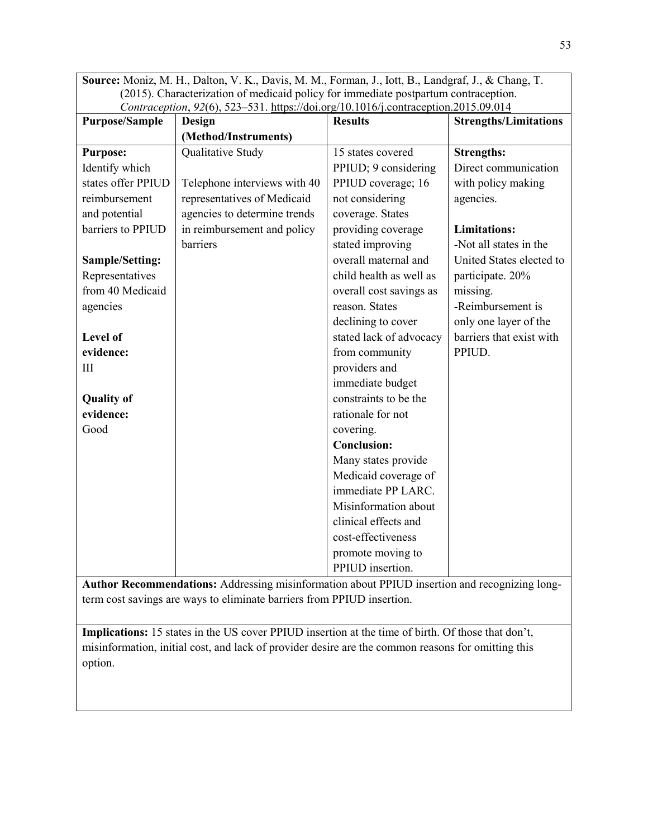**Source:** Moniz, M. H., Dalton, V. K., Davis, M. M., Forman, J., Iott, B., Landgraf, J., & Chang, T. (2015). Characterization of medicaid policy for immediate postpartum contraception. *Contraception*, *92*(6), 523–531.<https://doi.org/10.1016/j.contraception.2015.09.014>

| <b>Purpose/Sample</b> | Commucephon, 22(0), 323-331. $\frac{1}{2}$ $\frac{1}{2}$ $\frac{1}{2}$ $\frac{1}{2}$ $\frac{1}{2}$ $\frac{1}{2}$ $\frac{1}{2}$ $\frac{1}{2}$ $\frac{1}{2}$ $\frac{1}{2}$ $\frac{1}{2}$ $\frac{1}{2}$ $\frac{1}{2}$ $\frac{1}{2}$ $\frac{1}{2}$ $\frac{1}{2}$ $\frac{1}{2}$ $\frac{1}{2}$ $\frac{1}{2}$ $\$<br>Design | <b>Results</b>          | <b>Strengths/Limitations</b> |
|-----------------------|----------------------------------------------------------------------------------------------------------------------------------------------------------------------------------------------------------------------------------------------------------------------------------------------------------------------|-------------------------|------------------------------|
|                       | (Method/Instruments)                                                                                                                                                                                                                                                                                                 |                         |                              |
| <b>Purpose:</b>       | Qualitative Study                                                                                                                                                                                                                                                                                                    | 15 states covered       | <b>Strengths:</b>            |
| Identify which        |                                                                                                                                                                                                                                                                                                                      | PPIUD; 9 considering    | Direct communication         |
| states offer PPIUD    | Telephone interviews with 40                                                                                                                                                                                                                                                                                         | PPIUD coverage; 16      | with policy making           |
| reimbursement         | representatives of Medicaid                                                                                                                                                                                                                                                                                          | not considering         | agencies.                    |
| and potential         | agencies to determine trends                                                                                                                                                                                                                                                                                         | coverage. States        |                              |
| barriers to PPIUD     | in reimbursement and policy                                                                                                                                                                                                                                                                                          | providing coverage      | <b>Limitations:</b>          |
|                       | barriers                                                                                                                                                                                                                                                                                                             | stated improving        | -Not all states in the       |
| Sample/Setting:       |                                                                                                                                                                                                                                                                                                                      | overall maternal and    | United States elected to     |
| Representatives       |                                                                                                                                                                                                                                                                                                                      | child health as well as | participate. 20%             |
| from 40 Medicaid      |                                                                                                                                                                                                                                                                                                                      | overall cost savings as | missing.                     |
| agencies              |                                                                                                                                                                                                                                                                                                                      | reason. States          | -Reimbursement is            |
|                       |                                                                                                                                                                                                                                                                                                                      | declining to cover      | only one layer of the        |
| Level of              |                                                                                                                                                                                                                                                                                                                      | stated lack of advocacy | barriers that exist with     |
| evidence:             |                                                                                                                                                                                                                                                                                                                      | from community          | PPIUD.                       |
| III                   |                                                                                                                                                                                                                                                                                                                      | providers and           |                              |
|                       |                                                                                                                                                                                                                                                                                                                      | immediate budget        |                              |
| <b>Quality of</b>     |                                                                                                                                                                                                                                                                                                                      | constraints to be the   |                              |
| evidence:             |                                                                                                                                                                                                                                                                                                                      | rationale for not       |                              |
| Good                  |                                                                                                                                                                                                                                                                                                                      | covering.               |                              |
|                       |                                                                                                                                                                                                                                                                                                                      | <b>Conclusion:</b>      |                              |
|                       |                                                                                                                                                                                                                                                                                                                      | Many states provide     |                              |
|                       |                                                                                                                                                                                                                                                                                                                      | Medicaid coverage of    |                              |
|                       |                                                                                                                                                                                                                                                                                                                      | immediate PP LARC.      |                              |
|                       |                                                                                                                                                                                                                                                                                                                      | Misinformation about    |                              |
|                       |                                                                                                                                                                                                                                                                                                                      | clinical effects and    |                              |
|                       |                                                                                                                                                                                                                                                                                                                      | cost-effectiveness      |                              |
|                       |                                                                                                                                                                                                                                                                                                                      | promote moving to       |                              |
|                       |                                                                                                                                                                                                                                                                                                                      | PPIUD insertion.        |                              |

**Author Recommendations:** Addressing misinformation about PPIUD insertion and recognizing longterm cost savings are ways to eliminate barriers from PPIUD insertion.

**Implications:** 15 states in the US cover PPIUD insertion at the time of birth. Of those that don't, misinformation, initial cost, and lack of provider desire are the common reasons for omitting this option.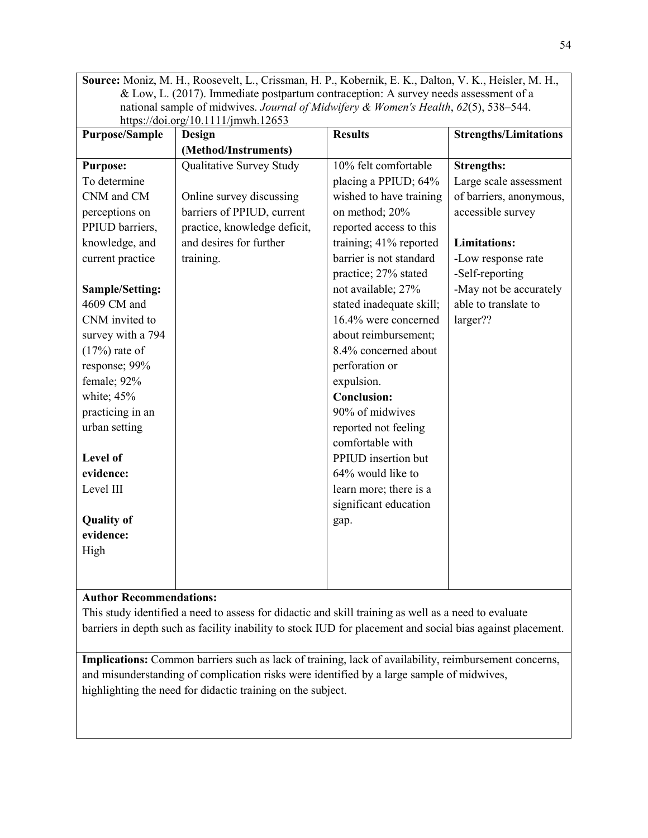**Source:** Moniz, M. H., Roosevelt, L., Crissman, H. P., Kobernik, E. K., Dalton, V. K., Heisler, M. H., & Low, L. (2017). Immediate postpartum contraception: A survey needs assessment of a national sample of midwives. *Journal of Midwifery & Women's Health*, *62*(5), 538–544. <https://doi.org/10.1111/jmwh.12653>

| <b>Purpose/Sample</b> | Design                       | <b>Results</b>           | <b>Strengths/Limitations</b> |
|-----------------------|------------------------------|--------------------------|------------------------------|
|                       | (Method/Instruments)         |                          |                              |
| <b>Purpose:</b>       | Qualitative Survey Study     | 10% felt comfortable     | <b>Strengths:</b>            |
| To determine          |                              | placing a PPIUD; 64%     | Large scale assessment       |
| CNM and CM            | Online survey discussing     | wished to have training  | of barriers, anonymous,      |
| perceptions on        | barriers of PPIUD, current   | on method; 20%           | accessible survey            |
| PPIUD barriers,       | practice, knowledge deficit, | reported access to this  |                              |
| knowledge, and        | and desires for further      | training; 41% reported   | <b>Limitations:</b>          |
| current practice      | training.                    | barrier is not standard  | -Low response rate           |
|                       |                              | practice; 27% stated     | -Self-reporting              |
| Sample/Setting:       |                              | not available; 27%       | -May not be accurately       |
| 4609 CM and           |                              | stated inadequate skill; | able to translate to         |
| CNM invited to        |                              | 16.4% were concerned     | larger??                     |
| survey with a 794     |                              | about reimbursement;     |                              |
| $(17%)$ rate of       |                              | 8.4% concerned about     |                              |
| response; 99%         |                              | perforation or           |                              |
| female; 92%           |                              | expulsion.               |                              |
| white; 45%            |                              | <b>Conclusion:</b>       |                              |
| practicing in an      |                              | 90% of midwives          |                              |
| urban setting         |                              | reported not feeling     |                              |
|                       |                              | comfortable with         |                              |
| Level of              |                              | PPIUD insertion but      |                              |
| evidence:             |                              | 64% would like to        |                              |
| Level III             |                              | learn more; there is a   |                              |
|                       |                              | significant education    |                              |
| <b>Quality of</b>     |                              | gap.                     |                              |
| evidence:             |                              |                          |                              |
| High                  |                              |                          |                              |
|                       |                              |                          |                              |
|                       |                              |                          |                              |

## **Author Recommendations:**

This study identified a need to assess for didactic and skill training as well as a need to evaluate barriers in depth such as facility inability to stock IUD for placement and social bias against placement.

**Implications:** Common barriers such as lack of training, lack of availability, reimbursement concerns, and misunderstanding of complication risks were identified by a large sample of midwives, highlighting the need for didactic training on the subject.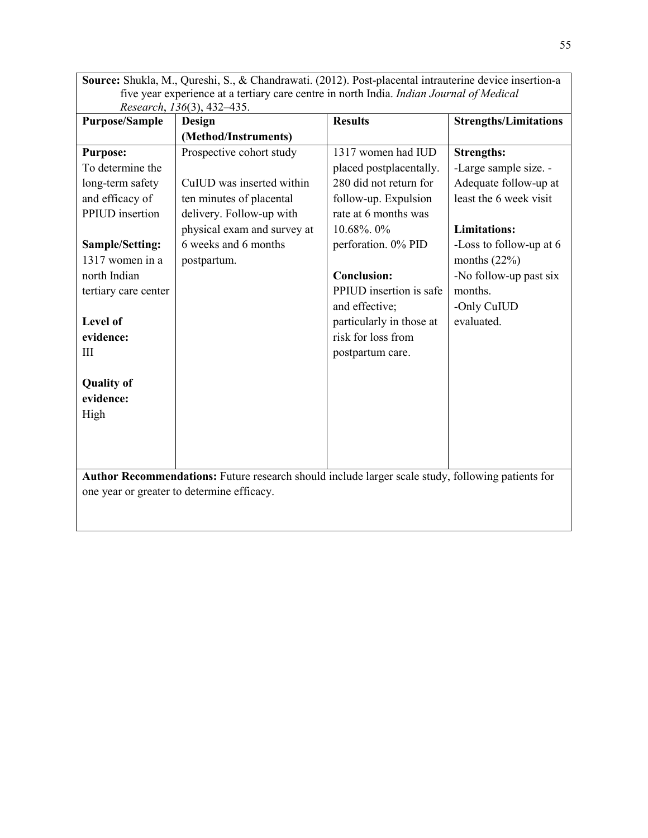**Source:** Shukla, M., Qureshi, S., & Chandrawati. (2012). Post-placental intrauterine device insertion-a five year experience at a tertiary care centre in north India. *Indian Journal of Medical Research*, *136*(3), 432–435.

| <b>Purpose/Sample</b>                                                                             | Design                      | <b>Results</b>           | <b>Strengths/Limitations</b> |
|---------------------------------------------------------------------------------------------------|-----------------------------|--------------------------|------------------------------|
|                                                                                                   | (Method/Instruments)        |                          |                              |
| <b>Purpose:</b>                                                                                   | Prospective cohort study    | 1317 women had IUD       | <b>Strengths:</b>            |
| To determine the                                                                                  |                             | placed postplacentally.  | -Large sample size. -        |
| long-term safety                                                                                  | CuIUD was inserted within   | 280 did not return for   | Adequate follow-up at        |
| and efficacy of                                                                                   | ten minutes of placental    | follow-up. Expulsion     | least the 6 week visit       |
| PPIUD insertion                                                                                   | delivery. Follow-up with    | rate at 6 months was     |                              |
|                                                                                                   | physical exam and survey at | 10.68%. 0%               | <b>Limitations:</b>          |
| Sample/Setting:                                                                                   | 6 weeks and 6 months        | perforation. 0% PID      | -Loss to follow-up at 6      |
| 1317 women in a                                                                                   | postpartum.                 |                          | months $(22%)$               |
| north Indian                                                                                      |                             | <b>Conclusion:</b>       | -No follow-up past six       |
| tertiary care center                                                                              |                             | PPIUD insertion is safe  | months.                      |
|                                                                                                   |                             | and effective;           | -Only CuIUD                  |
| Level of                                                                                          |                             | particularly in those at | evaluated.                   |
| evidence:                                                                                         |                             | risk for loss from       |                              |
| Ш                                                                                                 |                             | postpartum care.         |                              |
|                                                                                                   |                             |                          |                              |
| <b>Quality of</b>                                                                                 |                             |                          |                              |
| evidence:                                                                                         |                             |                          |                              |
| High                                                                                              |                             |                          |                              |
|                                                                                                   |                             |                          |                              |
|                                                                                                   |                             |                          |                              |
|                                                                                                   |                             |                          |                              |
| Author Recommendations: Future research should include larger scale study, following patients for |                             |                          |                              |
| one year or greater to determine efficacy.                                                        |                             |                          |                              |
|                                                                                                   |                             |                          |                              |
|                                                                                                   |                             |                          |                              |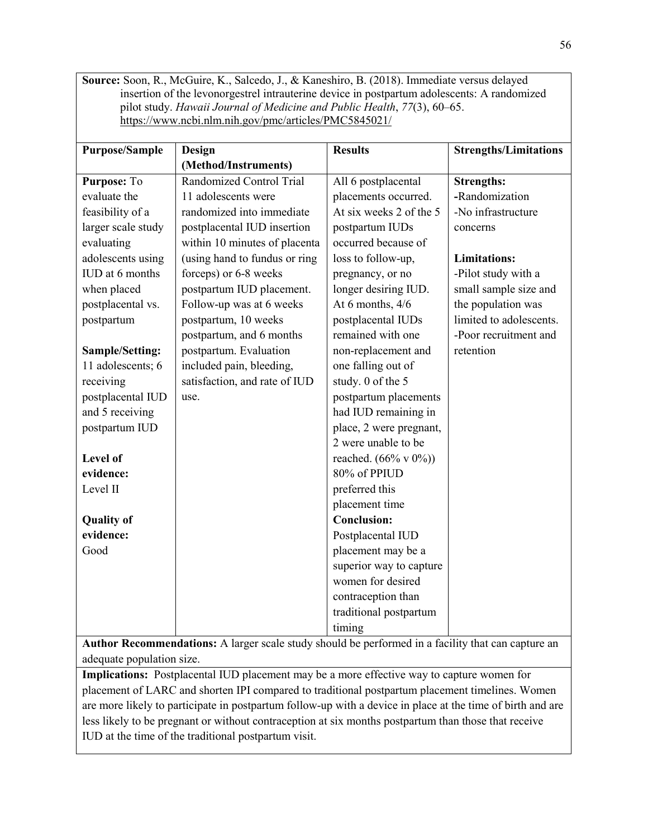**Source:** Soon, R., McGuire, K., Salcedo, J., & Kaneshiro, B. (2018). Immediate versus delayed insertion of the levonorgestrel intrauterine device in postpartum adolescents: A randomized pilot study. *Hawaii Journal of Medicine and Public Health*, *77*(3), 60–65. <https://www.ncbi.nlm.nih.gov/pmc/articles/PMC5845021/>

| <b>Purpose/Sample</b>  | Design                        | <b>Results</b>                   | <b>Strengths/Limitations</b> |
|------------------------|-------------------------------|----------------------------------|------------------------------|
|                        | (Method/Instruments)          |                                  |                              |
| Purpose: To            | Randomized Control Trial      | All 6 postplacental              | <b>Strengths:</b>            |
| evaluate the           | 11 adolescents were           | placements occurred.             | -Randomization               |
| feasibility of a       | randomized into immediate     | At six weeks 2 of the 5          | -No infrastructure           |
| larger scale study     | postplacental IUD insertion   | postpartum IUDs                  | concerns                     |
| evaluating             | within 10 minutes of placenta | occurred because of              |                              |
| adolescents using      | (using hand to fundus or ring | loss to follow-up,               | <b>Limitations:</b>          |
| <b>IUD</b> at 6 months | forceps) or 6-8 weeks         | pregnancy, or no                 | -Pilot study with a          |
| when placed            | postpartum IUD placement.     | longer desiring IUD.             | small sample size and        |
| postplacental vs.      | Follow-up was at 6 weeks      | At 6 months, 4/6                 | the population was           |
| postpartum             | postpartum, 10 weeks          | postplacental IUDs               | limited to adolescents.      |
|                        | postpartum, and 6 months      | remained with one                | -Poor recruitment and        |
| Sample/Setting:        | postpartum. Evaluation        | non-replacement and              | retention                    |
| 11 adolescents; 6      | included pain, bleeding,      | one falling out of               |                              |
| receiving              | satisfaction, and rate of IUD | study. 0 of the 5                |                              |
| postplacental IUD      | use.                          | postpartum placements            |                              |
| and 5 receiving        |                               | had IUD remaining in             |                              |
| postpartum IUD         |                               | place, 2 were pregnant,          |                              |
|                        |                               | 2 were unable to be              |                              |
| Level of               |                               | reached. $(66\% \text{ v } 0\%)$ |                              |
| evidence:              |                               | 80% of PPIUD                     |                              |
| Level II               |                               | preferred this                   |                              |
|                        |                               | placement time                   |                              |
| <b>Quality of</b>      |                               | <b>Conclusion:</b>               |                              |
| evidence:              |                               | Postplacental IUD                |                              |
| Good                   |                               | placement may be a               |                              |
|                        |                               | superior way to capture          |                              |
|                        |                               | women for desired                |                              |
|                        |                               | contraception than               |                              |
|                        |                               | traditional postpartum           |                              |
|                        |                               | timing                           |                              |

**Author Recommendations:** A larger scale study should be performed in a facility that can capture an adequate population size.

**Implications:** Postplacental IUD placement may be a more effective way to capture women for placement of LARC and shorten IPI compared to traditional postpartum placement timelines. Women are more likely to participate in postpartum follow-up with a device in place at the time of birth and are less likely to be pregnant or without contraception at six months postpartum than those that receive IUD at the time of the traditional postpartum visit.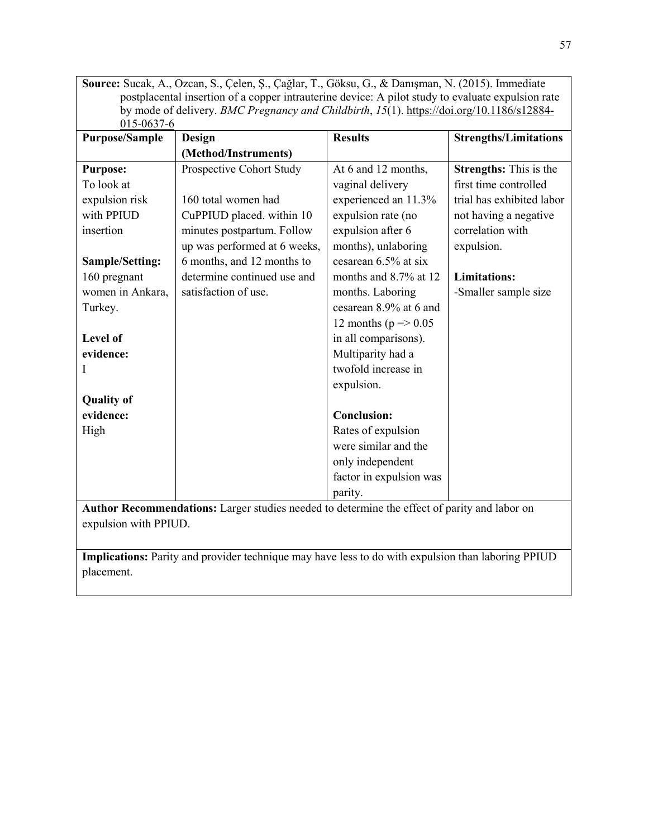**Source:** Sucak, A., Ozcan, S., Çelen, Ş., Çağlar, T., Göksu, G., & Danışman, N. (2015). Immediate postplacental insertion of a copper intrauterine device: A pilot study to evaluate expulsion rate by mode of delivery. *BMC Pregnancy and Childbirth*, *15*(1). [https://doi.org/10.1186/s12884-](https://doi.org/10.1186/s12884-015-0637-6) [015-0637-6](https://doi.org/10.1186/s12884-015-0637-6)

| <b>Purpose/Sample</b> | Design                       | <b>Results</b>             | <b>Strengths/Limitations</b>  |
|-----------------------|------------------------------|----------------------------|-------------------------------|
|                       | (Method/Instruments)         |                            |                               |
| <b>Purpose:</b>       | Prospective Cohort Study     | At 6 and 12 months,        | <b>Strengths:</b> This is the |
| To look at            |                              | vaginal delivery           | first time controlled         |
| expulsion risk        | 160 total women had          | experienced an 11.3%       | trial has exhibited labor     |
| with PPIUD            | CuPPIUD placed. within 10    | expulsion rate (no         | not having a negative         |
| insertion             | minutes postpartum. Follow   | expulsion after 6          | correlation with              |
|                       | up was performed at 6 weeks, | months), unlaboring        | expulsion.                    |
| Sample/Setting:       | 6 months, and 12 months to   | cesarean 6.5% at six       |                               |
| 160 pregnant          | determine continued use and  | months and 8.7% at 12      | <b>Limitations:</b>           |
| women in Ankara,      | satisfaction of use.         | months. Laboring           | -Smaller sample size          |
| Turkey.               |                              | cesarean 8.9% at 6 and     |                               |
|                       |                              | 12 months ( $p = > 0.05$ ) |                               |
| Level of              |                              | in all comparisons).       |                               |
| evidence:             |                              | Multiparity had a          |                               |
| I                     |                              | twofold increase in        |                               |
|                       |                              | expulsion.                 |                               |
| <b>Quality of</b>     |                              |                            |                               |
| evidence:             |                              | <b>Conclusion:</b>         |                               |
| High                  |                              | Rates of expulsion         |                               |
|                       |                              | were similar and the       |                               |
|                       |                              | only independent           |                               |
|                       |                              | factor in expulsion was    |                               |
|                       |                              | parity.                    |                               |

**Author Recommendations:** Larger studies needed to determine the effect of parity and labor on expulsion with PPIUD.

**Implications:** Parity and provider technique may have less to do with expulsion than laboring PPIUD placement.